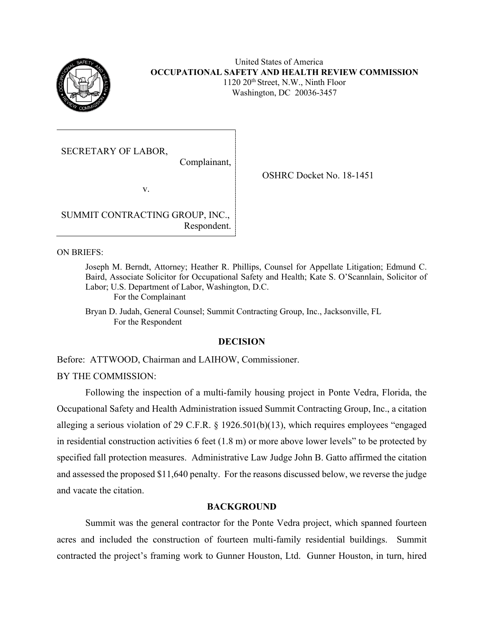

United States of America **OCCUPATIONAL SAFETY AND HEALTH REVIEW COMMISSION**  1120 20th Street, N.W., Ninth Floor

Washington, DC 20036-3457

OSHRC Docket No. 18-1451

SECRETARY OF LABOR,

Complainant,

v.

SUMMIT CONTRACTING GROUP, INC., Respondent.

ON BRIEFS:

 Baird, Associate Solicitor for Occupational Safety and Health; Kate S. O'Scannlain, Solicitor of Joseph M. Berndt, Attorney; Heather R. Phillips, Counsel for Appellate Litigation; Edmund C. Labor; U.S. Department of Labor, Washington, D.C.

For the Complainant

 Bryan D. Judah, General Counsel; Summit Contracting Group, Inc., Jacksonville, FL For the Respondent

# **DECISION**

Before: ATTWOOD, Chairman and LAIHOW, Commissioner.

BY THE COMMISSION:

Following the inspection of a multi-family housing project in Ponte Vedra, Florida, the Occupational Safety and Health Administration issued Summit Contracting Group, Inc., a citation alleging a serious violation of 29 C.F.R. § 1926.501(b)(13), which requires employees "engaged in residential construction activities 6 feet (1.8 m) or more above lower levels" to be protected by specified fall protection measures. Administrative Law Judge John B. Gatto affirmed the citation and assessed the proposed \$11,640 penalty. For the reasons discussed below, we reverse the judge and vacate the citation.

# **BACKGROUND**

 Summit was the general contractor for the Ponte Vedra project, which spanned fourteen acres and included the construction of fourteen multi-family residential buildings. Summit contracted the project's framing work to Gunner Houston, Ltd. Gunner Houston, in turn, hired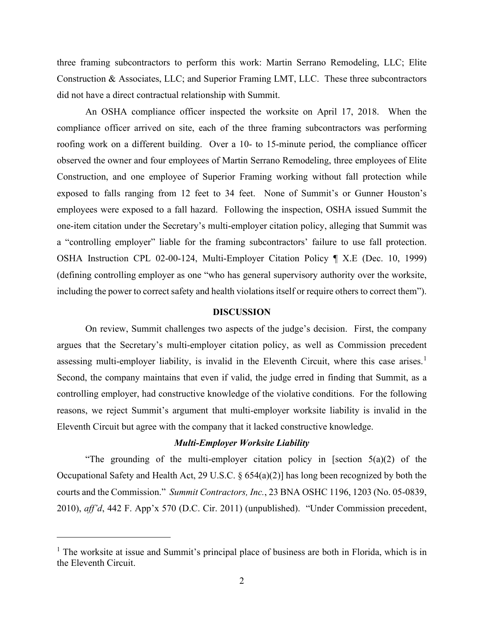three framing subcontractors to perform this work: Martin Serrano Remodeling, LLC; Elite Construction & Associates, LLC; and Superior Framing LMT, LLC. These three subcontractors did not have a direct contractual relationship with Summit.

 roofing work on a different building. Over a 10- to 15-minute period, the compliance officer exposed to falls ranging from 12 feet to 34 feet. None of Summit's or Gunner Houston's a "controlling employer" liable for the framing subcontractors' failure to use fall protection. (defining controlling employer as one "who has general supervisory authority over the worksite, including the power to correct safety and health violations itself or require others to correct them"). An OSHA compliance officer inspected the worksite on April 17, 2018. When the compliance officer arrived on site, each of the three framing subcontractors was performing observed the owner and four employees of Martin Serrano Remodeling, three employees of Elite Construction, and one employee of Superior Framing working without fall protection while employees were exposed to a fall hazard. Following the inspection, OSHA issued Summit the one-item citation under the Secretary's multi-employer citation policy, alleging that Summit was OSHA Instruction CPL 02-00-124, Multi-Employer Citation Policy ¶ X.E (Dec. 10, 1999)

### **DISCUSSION**

 argues that the Secretary's multi-employer citation policy, as well as Commission precedent assessing multi-employer liability, is invalid in the Eleventh Circuit, where this case arises.<sup>1</sup> controlling employer, had constructive knowledge of the violative conditions. For the following reasons, we reject Summit's argument that multi-employer worksite liability is invalid in the On review, Summit challenges two aspects of the judge's decision. First, the company Second, the company maintains that even if valid, the judge erred in finding that Summit, as a Eleventh Circuit but agree with the company that it lacked constructive knowledge.

# *Multi-Employer Worksite Liability*

"The grounding of the multi-employer citation policy in [section  $5(a)(2)$  of the Occupational Safety and Health Act, 29 U.S.C. § 654(a)(2)] has long been recognized by both the courts and the Commission." *Summit Contractors, Inc.*, 23 BNA OSHC 1196, 1203 (No. 05-0839, 2010), *aff'd*, 442 F. App'x 570 (D.C. Cir. 2011) (unpublished). "Under Commission precedent,

<sup>&</sup>lt;sup>1</sup> The worksite at issue and Summit's principal place of business are both in Florida, which is in the Eleventh Circuit.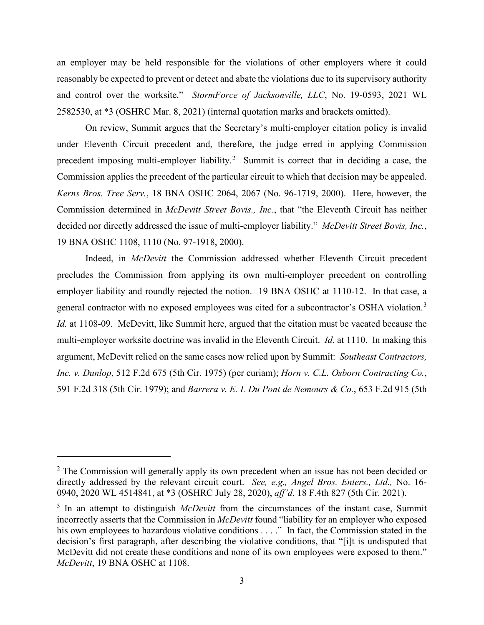and control over the worksite." *StormForce of Jacksonville, LLC*, No. 19-0593, 2021 WL an employer may be held responsible for the violations of other employers where it could reasonably be expected to prevent or detect and abate the violations due to its supervisory authority 2582530, at \*3 (OSHRC Mar. 8, 2021) (internal quotation marks and brackets omitted).

 under Eleventh Circuit precedent and, therefore, the judge erred in applying Commission precedent imposing multi-employer liability.<sup>2</sup> Summit is correct that in deciding a case, the Commission applies the precedent of the particular circuit to which that decision may be appealed. *Kerns Bros. Tree Serv.*, 18 BNA OSHC 2064, 2067 (No. 96-1719, 2000). Here, however, the decided nor directly addressed the issue of multi-employer liability." *McDevitt Street Bovis, Inc.*, On review, Summit argues that the Secretary's multi-employer citation policy is invalid Commission determined in *McDevitt Street Bovis., Inc.*, that "the Eleventh Circuit has neither 19 BNA OSHC 1108, 1110 (No. 97-1918, 2000).

 employer liability and roundly rejected the notion. 19 BNA OSHC at 1110-12. In that case, a general contractor with no exposed employees was cited for a subcontractor's OSHA violation.<sup>3</sup> multi-employer worksite doctrine was invalid in the Eleventh Circuit. *Id.* at 1110. In making this argument, McDevitt relied on the same cases now relied upon by Summit: *Southeast Contractors, Inc. v. Dunlop*, 512 F.2d 675 (5th Cir. 1975) (per curiam); *Horn v. C.L. Osborn Contracting Co.*, Indeed, in *McDevitt* the Commission addressed whether Eleventh Circuit precedent precludes the Commission from applying its own multi-employer precedent on controlling *Id.* at 1108-09. McDevitt, like Summit here, argued that the citation must be vacated because the 591 F.2d 318 (5th Cir. 1979); and *Barrera v. E. I. Du Pont de Nemours & Co.*, 653 F.2d 915 (5th

 $2^2$  The Commission will generally apply its own precedent when an issue has not been decided or directly addressed by the relevant circuit court. *See, e.g., Angel Bros. Enters., Ltd.,* No. 16- 0940, 2020 WL 4514841, at \*3 (OSHRC July 28, 2020), *aff'd*, 18 F.4th 827 (5th Cir. 2021).

<sup>&</sup>lt;sup>3</sup> In an attempt to distinguish *McDevitt* from the circumstances of the instant case, Summit incorrectly asserts that the Commission in *McDevitt* found "liability for an employer who exposed his own employees to hazardous violative conditions . . . ." In fact, the Commission stated in the decision's first paragraph, after describing the violative conditions, that "[i]t is undisputed that McDevitt did not create these conditions and none of its own employees were exposed to them." *McDevitt*, 19 BNA OSHC at 1108.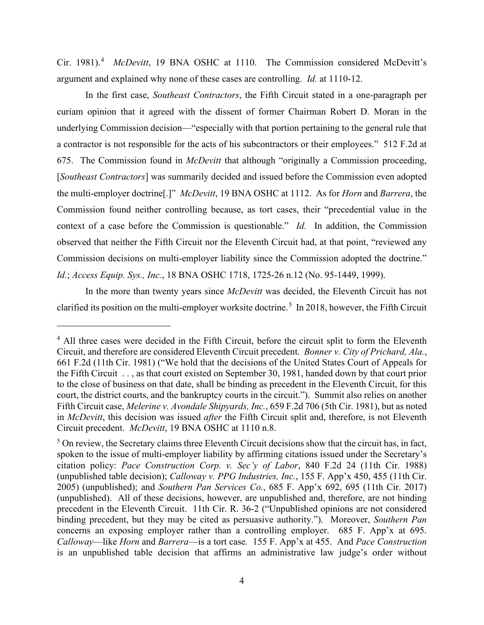Cir. 1981). <sup>4</sup>*McDevitt*, 19 BNA OSHC at 1110. The Commission considered McDevitt's argument and explained why none of these cases are controlling. *Id.* at 1110-12.

 In the first case, *Southeast Contractors*, the Fifth Circuit stated in a one-paragraph per 675. The Commission found in *McDevitt* that although "originally a Commission proceeding, the multi-employer doctrine[.]" *McDevitt*, 19 BNA OSHC at 1112. As for *Horn* and *Barrera*, the context of a case before the Commission is questionable." *Id.* In addition, the Commission  Commission decisions on multi-employer liability since the Commission adopted the doctrine." curiam opinion that it agreed with the dissent of former Chairman Robert D. Moran in the underlying Commission decision—"especially with that portion pertaining to the general rule that a contractor is not responsible for the acts of his subcontractors or their employees." 512 F.2d at [*Southeast Contractors*] was summarily decided and issued before the Commission even adopted Commission found neither controlling because, as tort cases, their "precedential value in the observed that neither the Fifth Circuit nor the Eleventh Circuit had, at that point, "reviewed any *Id.*; *Access Equip. Sys., Inc.*, 18 BNA OSHC 1718, 1725-26 n.12 (No. 95-1449, 1999).

 In the more than twenty years since *McDevitt* was decided, the Eleventh Circuit has not clarified its position on the multi-employer worksite doctrine.<sup>5</sup> In 2018, however, the Fifth Circuit

 Circuit precedent. *McDevitt*, 19 BNA OSHC at 1110 n.8. <sup>4</sup> All three cases were decided in the Fifth Circuit, before the circuit split to form the Eleventh Circuit, and therefore are considered Eleventh Circuit precedent. *Bonner v. City of Prichard, Ala.*, 661 F.2d (11th Cir. 1981) ("We hold that the decisions of the United States Court of Appeals for the Fifth Circuit . . , as that court existed on September 30, 1981, handed down by that court prior to the close of business on that date, shall be binding as precedent in the Eleventh Circuit, for this court, the district courts, and the bankruptcy courts in the circuit."). Summit also relies on another Fifth Circuit case, *Melerine v. Avondale Shipyards, Inc.*, 659 F.2d 706 (5th Cir. 1981), but as noted in *McDevitt*, this decision was issued *after* the Fifth Circuit split and, therefore, is not Eleventh

 $5$  On review, the Secretary claims three Eleventh Circuit decisions show that the circuit has, in fact, spoken to the issue of multi-employer liability by affirming citations issued under the Secretary's citation policy: *Pace Construction Corp. v. Sec'y of Labor*, 840 F.2d 24 (11th Cir. 1988) (unpublished table decision); *Calloway v. PPG Industries, Inc.*, 155 F. App'x 450, 455 (11th Cir. 2005) (unpublished); and *Southern Pan Services Co.*, 685 F. App'x 692, 695 (11th Cir. 2017) (unpublished). All of these decisions, however, are unpublished and, therefore, are not binding precedent in the Eleventh Circuit. 11th Cir. R. 36-2 ("Unpublished opinions are not considered binding precedent, but they may be cited as persuasive authority."). Moreover, *Southern Pan*  concerns an exposing employer rather than a controlling employer. 685 F. App'x at 695. *Calloway*—like *Horn* and *Barrera*—is a tort case*.* 155 F. App'x at 455. And *Pace Construction*  is an unpublished table decision that affirms an administrative law judge's order without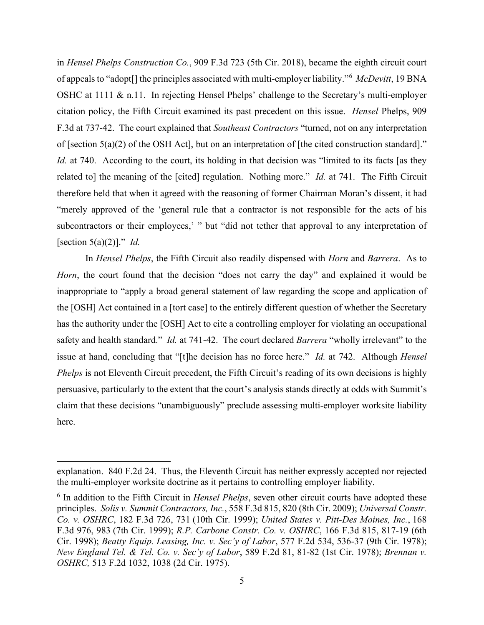of appeals to "adopt[] the principles associated with multi-employer liability."<sup>6</sup>*McDevitt*, 19 BNA of [section 5(a)(2) of the OSH Act], but on an interpretation of [the cited construction standard]." *Id.* at 740. According to the court, its holding in that decision was "limited to its facts [as they related to] the meaning of the [cited] regulation. Nothing more." *Id.* at 741. The Fifth Circuit "merely approved of the 'general rule that a contractor is not responsible for the acts of his [section 5(a)(2)]." *Id.*  in *Hensel Phelps Construction Co.*, 909 F.3d 723 (5th Cir. 2018), became the eighth circuit court OSHC at 1111 & n.11. In rejecting Hensel Phelps' challenge to the Secretary's multi-employer citation policy, the Fifth Circuit examined its past precedent on this issue. *Hensel* Phelps, 909 F.3d at 737-42. The court explained that *Southeast Contractors* "turned, not on any interpretation therefore held that when it agreed with the reasoning of former Chairman Moran's dissent, it had subcontractors or their employees,' " but "did not tether that approval to any interpretation of

 has the authority under the [OSH] Act to cite a controlling employer for violating an occupational safety and health standard." *Id.* at 741-42. The court declared *Barrera* "wholly irrelevant" to the issue at hand, concluding that "[t]he decision has no force here." *Id.* at 742. Although *Hensel Phelps* is not Eleventh Circuit precedent, the Fifth Circuit's reading of its own decisions is highly In *Hensel Phelps*, the Fifth Circuit also readily dispensed with *Horn* and *Barrera*. As to *Horn*, the court found that the decision "does not carry the day" and explained it would be inappropriate to "apply a broad general statement of law regarding the scope and application of the [OSH] Act contained in a [tort case] to the entirely different question of whether the Secretary persuasive, particularly to the extent that the court's analysis stands directly at odds with Summit's claim that these decisions "unambiguously" preclude assessing multi-employer worksite liability here.

explanation. 840 F.2d 24. Thus, the Eleventh Circuit has neither expressly accepted nor rejected the multi-employer worksite doctrine as it pertains to controlling employer liability.

 6 In addition to the Fifth Circuit in *Hensel Phelps*, seven other circuit courts have adopted these *New England Tel. & Tel. Co. v. Sec'y of Labor*, 589 F.2d 81, 81-82 (1st Cir. 1978); *Brennan v.*  principles. *Solis v. Summit Contractors, Inc.*, 558 F.3d 815, 820 (8th Cir. 2009); *Universal Constr. Co. v. OSHRC*, 182 F.3d 726, 731 (10th Cir. 1999); *United States v. Pitt-Des Moines, Inc.*, 168 F.3d 976, 983 (7th Cir. 1999); *R.P. Carbone Constr. Co. v. OSHRC*, 166 F.3d 815, 817-19 (6th Cir. 1998); *Beatty Equip. Leasing, Inc. v. Sec'y of Labor*, 577 F.2d 534, 536-37 (9th Cir. 1978); *OSHRC,* 513 F.2d 1032, 1038 (2d Cir. 1975).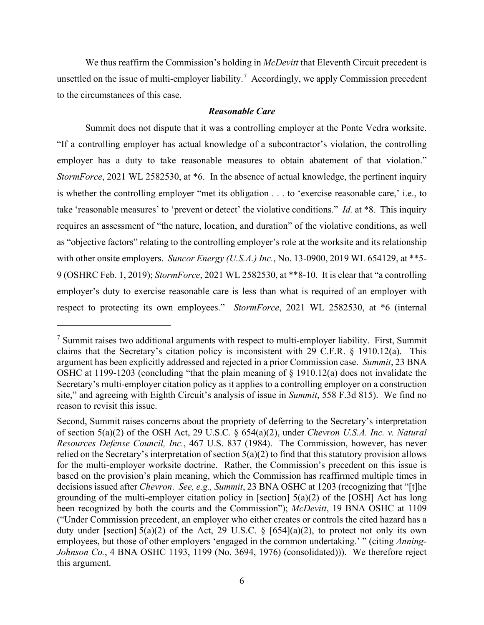We thus reaffirm the Commission's holding in *McDevitt* that Eleventh Circuit precedent is unsettled on the issue of multi-employer liability.<sup>7</sup> Accordingly, we apply Commission precedent to the circumstances of this case.

## *Reasonable Care*

 Summit does not dispute that it was a controlling employer at the Ponte Vedra worksite. employer has a duty to take reasonable measures to obtain abatement of that violation." with other onsite employers. *Suncor Energy (U.S.A.) Inc.*, No. 13-0900, 2019 WL 654129, at \*\*5- 9 (OSHRC Feb. 1, 2019); *StormForce*, 2021 WL 2582530, at \*\*8-10. It is clear that "a controlling respect to protecting its own employees." *StormForce*, 2021 WL 2582530, at \*6 (internal "If a controlling employer has actual knowledge of a subcontractor's violation, the controlling *StormForce*, 2021 WL 2582530, at \*6. In the absence of actual knowledge, the pertinent inquiry is whether the controlling employer "met its obligation . . . to 'exercise reasonable care,' i.e., to take 'reasonable measures' to 'prevent or detect' the violative conditions." *Id.* at \*8. This inquiry requires an assessment of "the nature, location, and duration" of the violative conditions, as well as "objective factors" relating to the controlling employer's role at the worksite and its relationship employer's duty to exercise reasonable care is less than what is required of an employer with

 argument has been explicitly addressed and rejected in a prior Commission case. *Summit*, 23 BNA reason to revisit this issue.  $<sup>7</sup>$  Summit raises two additional arguments with respect to multi-employer liability. First, Summit</sup> claims that the Secretary's citation policy is inconsistent with 29 C.F.R. § 1910.12(a). This OSHC at 1199-1203 (concluding "that the plain meaning of § 1910.12(a) does not invalidate the Secretary's multi-employer citation policy as it applies to a controlling employer on a construction site," and agreeing with Eighth Circuit's analysis of issue in *Summit*, 558 F.3d 815). We find no

 of section 5(a)(2) of the OSH Act, 29 U.S.C. § 654(a)(2), under *Chevron U.S.A. Inc. v. Natural Johnson Co.*, 4 BNA OSHC 1193, 1199 (No. 3694, 1976) (consolidated))). We therefore reject Second, Summit raises concerns about the propriety of deferring to the Secretary's interpretation *Resources Defense Council, Inc.*, 467 U.S. 837 (1984). The Commission, however, has never relied on the Secretary's interpretation of section  $5(a)(2)$  to find that this statutory provision allows for the multi-employer worksite doctrine. Rather, the Commission's precedent on this issue is based on the provision's plain meaning, which the Commission has reaffirmed multiple times in decisions issued after *Chevron*. *See, e.g., Summit*, 23 BNA OSHC at 1203 (recognizing that "[t]he grounding of the multi-employer citation policy in [section] 5(a)(2) of the [OSH] Act has long been recognized by both the courts and the Commission"); *McDevitt*, 19 BNA OSHC at 1109 ("Under Commission precedent, an employer who either creates or controls the cited hazard has a duty under [section]  $5(a)(2)$  of the Act, 29 U.S.C. § [654](a)(2), to protect not only its own employees, but those of other employers 'engaged in the common undertaking.' " (citing *Anning*this argument.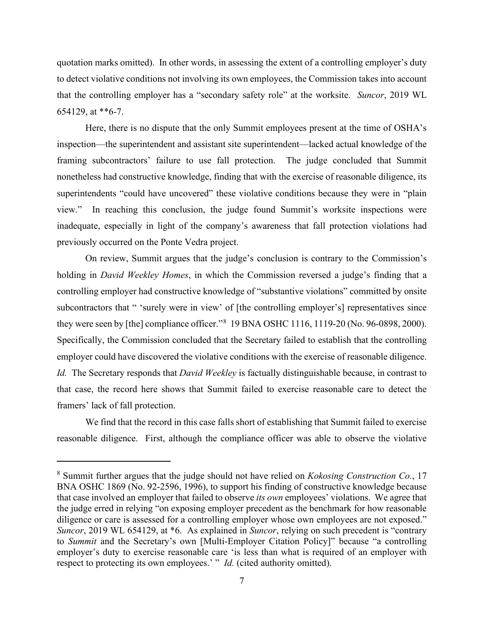that the controlling employer has a "secondary safety role" at the worksite. *Suncor*, 2019 WL quotation marks omitted). In other words, in assessing the extent of a controlling employer's duty to detect violative conditions not involving its own employees, the Commission takes into account 654129, at \*\*6-7.

 Here, there is no dispute that the only Summit employees present at the time of OSHA's framing subcontractors' failure to use fall protection. The judge concluded that Summit superintendents "could have uncovered" these violative conditions because they were in "plain inspection—the superintendent and assistant site superintendent—lacked actual knowledge of the nonetheless had constructive knowledge, finding that with the exercise of reasonable diligence, its view." In reaching this conclusion, the judge found Summit's worksite inspections were inadequate, especially in light of the company's awareness that fall protection violations had previously occurred on the Ponte Vedra project.

subcontractors that " 'surely were in view' of [the controlling employer's] representatives since *Id.* The Secretary responds that *David Weekley* is factually distinguishable because, in contrast to On review, Summit argues that the judge's conclusion is contrary to the Commission's holding in *David Weekley Homes*, in which the Commission reversed a judge's finding that a controlling employer had constructive knowledge of "substantive violations" committed by onsite they were seen by [the] compliance officer."<sup>8</sup> 19 BNA OSHC 1116, 1119-20 (No. 96-0898, 2000). Specifically, the Commission concluded that the Secretary failed to establish that the controlling employer could have discovered the violative conditions with the exercise of reasonable diligence. that case, the record here shows that Summit failed to exercise reasonable care to detect the framers' lack of fall protection.

We find that the record in this case falls short of establishing that Summit failed to exercise reasonable diligence. First, although the compliance officer was able to observe the violative

diligence or care is assessed for a controlling employer whose own employees are not exposed." to *Summit* and the Secretary's own [Multi-Employer Citation Policy]" because "a controlling respect to protecting its own employees.' " *Id.* (cited authority omitted). 8 Summit further argues that the judge should not have relied on *Kokosing Construction Co.*, 17 BNA OSHC 1869 (No. 92-2596, 1996), to support his finding of constructive knowledge because that case involved an employer that failed to observe *its own* employees' violations. We agree that the judge erred in relying "on exposing employer precedent as the benchmark for how reasonable *Suncor*, 2019 WL 654129, at \*6. As explained in *Suncor*, relying on such precedent is "contrary employer's duty to exercise reasonable care 'is less than what is required of an employer with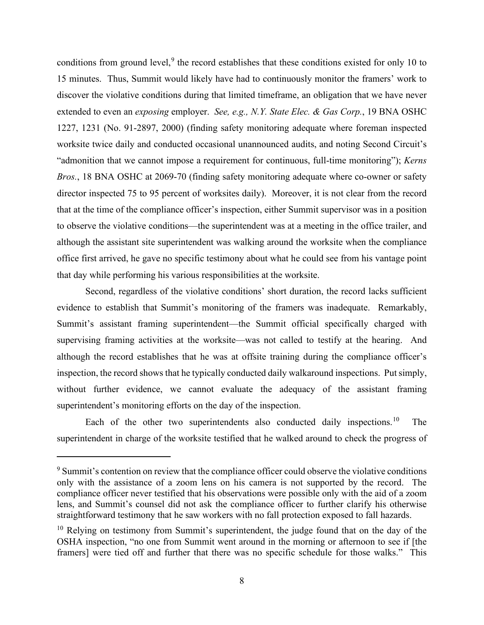conditions from ground level,  $9$  the record establishes that these conditions existed for only 10 to 15 minutes. Thus, Summit would likely have had to continuously monitor the framers' work to extended to even an *exposing* employer. *See, e.g., N.Y. State Elec. & Gas Corp.*, 19 BNA OSHC director inspected 75 to 95 percent of worksites daily). Moreover, it is not clear from the record office first arrived, he gave no specific testimony about what he could see from his vantage point discover the violative conditions during that limited timeframe, an obligation that we have never 1227, 1231 (No. 91-2897, 2000) (finding safety monitoring adequate where foreman inspected worksite twice daily and conducted occasional unannounced audits, and noting Second Circuit's "admonition that we cannot impose a requirement for continuous, full-time monitoring"); *Kerns Bros.*, 18 BNA OSHC at 2069-70 (finding safety monitoring adequate where co-owner or safety that at the time of the compliance officer's inspection, either Summit supervisor was in a position to observe the violative conditions—the superintendent was at a meeting in the office trailer, and although the assistant site superintendent was walking around the worksite when the compliance that day while performing his various responsibilities at the worksite.

 evidence to establish that Summit's monitoring of the framers was inadequate. Remarkably, supervising framing activities at the worksite—was not called to testify at the hearing. And without further evidence, we cannot evaluate the adequacy of the assistant framing Second, regardless of the violative conditions' short duration, the record lacks sufficient Summit's assistant framing superintendent—the Summit official specifically charged with although the record establishes that he was at offsite training during the compliance officer's inspection, the record shows that he typically conducted daily walkaround inspections. Put simply, superintendent's monitoring efforts on the day of the inspection.

Each of the other two superintendents also conducted daily inspections.<sup>10</sup> The superintendent in charge of the worksite testified that he walked around to check the progress of

<sup>&</sup>lt;sup>9</sup> Summit's contention on review that the compliance officer could observe the violative conditions only with the assistance of a zoom lens on his camera is not supported by the record. The compliance officer never testified that his observations were possible only with the aid of a zoom lens, and Summit's counsel did not ask the compliance officer to further clarify his otherwise straightforward testimony that he saw workers with no fall protection exposed to fall hazards.

 framers] were tied off and further that there was no specific schedule for those walks." This  $10$  Relying on testimony from Summit's superintendent, the judge found that on the day of the OSHA inspection, "no one from Summit went around in the morning or afternoon to see if [the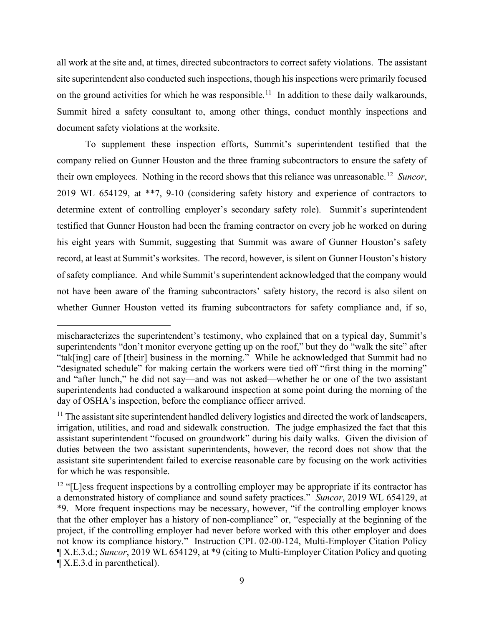on the ground activities for which he was responsible.<sup>11</sup> In addition to these daily walkarounds, document safety violations at the worksite. all work at the site and, at times, directed subcontractors to correct safety violations. The assistant site superintendent also conducted such inspections, though his inspections were primarily focused Summit hired a safety consultant to, among other things, conduct monthly inspections and

their own employees. Nothing in the record shows that this reliance was unreasonable.<sup>12</sup> Suncor, not have been aware of the framing subcontractors' safety history, the record is also silent on To supplement these inspection efforts, Summit's superintendent testified that the company relied on Gunner Houston and the three framing subcontractors to ensure the safety of 2019 WL 654129, at \*\*7, 9-10 (considering safety history and experience of contractors to determine extent of controlling employer's secondary safety role). Summit's superintendent testified that Gunner Houston had been the framing contractor on every job he worked on during his eight years with Summit, suggesting that Summit was aware of Gunner Houston's safety record, at least at Summit's worksites. The record, however, is silent on Gunner Houston's history of safety compliance. And while Summit's superintendent acknowledged that the company would whether Gunner Houston vetted its framing subcontractors for safety compliance and, if so,

 day of OSHA's inspection, before the compliance officer arrived. mischaracterizes the superintendent's testimony, who explained that on a typical day, Summit's superintendents "don't monitor everyone getting up on the roof," but they do "walk the site" after "tak[ing] care of [their] business in the morning." While he acknowledged that Summit had no "designated schedule" for making certain the workers were tied off "first thing in the morning" and "after lunch," he did not say—and was not asked—whether he or one of the two assistant superintendents had conducted a walkaround inspection at some point during the morning of the

 duties between the two assistant superintendents, however, the record does not show that the  $11$  The assistant site superintendent handled delivery logistics and directed the work of landscapers, irrigation, utilities, and road and sidewalk construction. The judge emphasized the fact that this assistant superintendent "focused on groundwork" during his daily walks. Given the division of assistant site superintendent failed to exercise reasonable care by focusing on the work activities for which he was responsible.

 a demonstrated history of compliance and sound safety practices." *Suncor*, 2019 WL 654129, at  $12$  "[L]ess frequent inspections by a controlling employer may be appropriate if its contractor has \*9. More frequent inspections may be necessary, however, "if the controlling employer knows that the other employer has a history of non-compliance" or, "especially at the beginning of the project, if the controlling employer had never before worked with this other employer and does not know its compliance history." Instruction CPL 02-00-124, Multi-Employer Citation Policy ¶ X.E.3.d.; *Suncor*, 2019 WL 654129, at \*9 (citing to Multi-Employer Citation Policy and quoting ¶ X.E.3.d in parenthetical).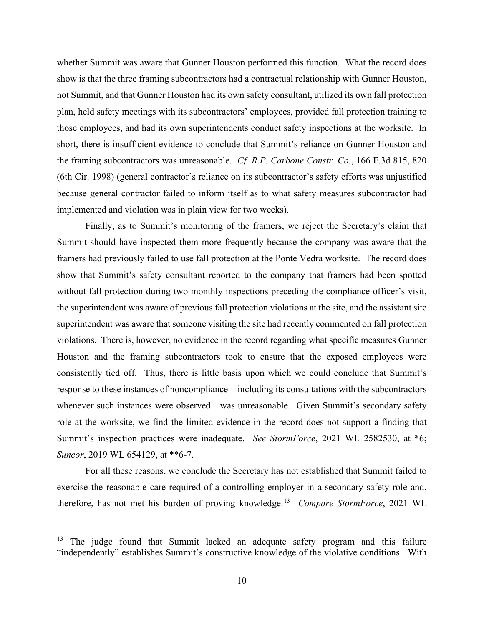whether Summit was aware that Gunner Houston performed this function. What the record does those employees, and had its own superintendents conduct safety inspections at the worksite. In  the framing subcontractors was unreasonable. *Cf. R.P. Carbone Constr. Co.*, 166 F.3d 815, 820 show is that the three framing subcontractors had a contractual relationship with Gunner Houston, not Summit, and that Gunner Houston had its own safety consultant, utilized its own fall protection plan, held safety meetings with its subcontractors' employees, provided fall protection training to short, there is insufficient evidence to conclude that Summit's reliance on Gunner Houston and (6th Cir. 1998) (general contractor's reliance on its subcontractor's safety efforts was unjustified because general contractor failed to inform itself as to what safety measures subcontractor had implemented and violation was in plain view for two weeks).

 framers had previously failed to use fall protection at the Ponte Vedra worksite. The record does superintendent was aware that someone visiting the site had recently commented on fall protection Summit's inspection practices were inadequate. *See StormForce*, 2021 WL 2582530, at \*6; Finally, as to Summit's monitoring of the framers, we reject the Secretary's claim that Summit should have inspected them more frequently because the company was aware that the show that Summit's safety consultant reported to the company that framers had been spotted without fall protection during two monthly inspections preceding the compliance officer's visit, the superintendent was aware of previous fall protection violations at the site, and the assistant site violations. There is, however, no evidence in the record regarding what specific measures Gunner Houston and the framing subcontractors took to ensure that the exposed employees were consistently tied off. Thus, there is little basis upon which we could conclude that Summit's response to these instances of noncompliance—including its consultations with the subcontractors whenever such instances were observed—was unreasonable. Given Summit's secondary safety role at the worksite, we find the limited evidence in the record does not support a finding that *Suncor*, 2019 WL 654129, at \*\*6-7.

 therefore, has not met his burden of proving knowledge.<sup>13</sup>*Compare StormForce*, 2021 WL For all these reasons, we conclude the Secretary has not established that Summit failed to exercise the reasonable care required of a controlling employer in a secondary safety role and,

<sup>&</sup>lt;sup>13</sup> The judge found that Summit lacked an adequate safety program and this failure "independently" establishes Summit's constructive knowledge of the violative conditions. With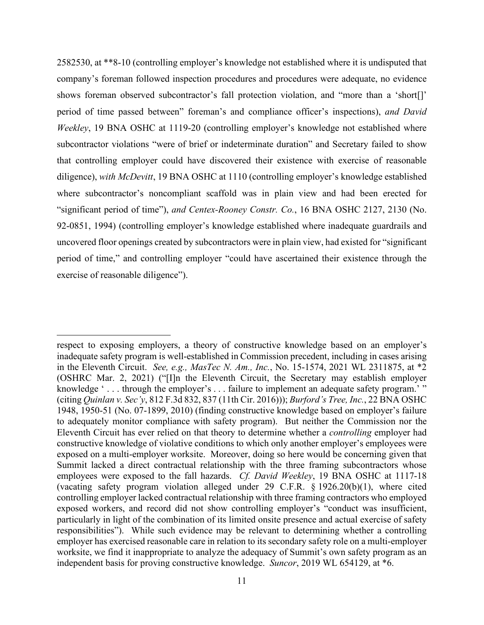company's foreman followed inspection procedures and procedures were adequate, no evidence diligence), *with McDevitt*, 19 BNA OSHC at 1110 (controlling employer's knowledge established 92-0851, 1994) (controlling employer's knowledge established where inadequate guardrails and exercise of reasonable diligence"). 2582530, at \*\*8-10 (controlling employer's knowledge not established where it is undisputed that shows foreman observed subcontractor's fall protection violation, and "more than a 'short[]' period of time passed between" foreman's and compliance officer's inspections), *and David Weekley*, 19 BNA OSHC at 1119-20 (controlling employer's knowledge not established where subcontractor violations "were of brief or indeterminate duration" and Secretary failed to show that controlling employer could have discovered their existence with exercise of reasonable where subcontractor's noncompliant scaffold was in plain view and had been erected for "significant period of time"), *and Centex-Rooney Constr. Co.*, 16 BNA OSHC 2127, 2130 (No. uncovered floor openings created by subcontractors were in plain view, had existed for "significant period of time," and controlling employer "could have ascertained their existence through the

 to adequately monitor compliance with safety program). But neither the Commission nor the respect to exposing employers, a theory of constructive knowledge based on an employer's inadequate safety program is well-established in Commission precedent, including in cases arising in the Eleventh Circuit. *See, e.g., MasTec N. Am., Inc.*, No. 15-1574, 2021 WL 2311875, at \*2 (OSHRC Mar. 2, 2021) ("[I]n the Eleventh Circuit, the Secretary may establish employer knowledge '... through the employer's ... failure to implement an adequate safety program.' " (citing *Quinlan v. Sec'y*, 812 F.3d 832, 837 (11th Cir. 2016))); *Burford's Tree, Inc.*, 22 BNA OSHC 1948, 1950-51 (No. 07-1899, 2010) (finding constructive knowledge based on employer's failure Eleventh Circuit has ever relied on that theory to determine whether a *controlling* employer had constructive knowledge of violative conditions to which only another employer's employees were exposed on a multi-employer worksite. Moreover, doing so here would be concerning given that Summit lacked a direct contractual relationship with the three framing subcontractors whose employees were exposed to the fall hazards. *Cf. David Weekley*, 19 BNA OSHC at 1117-18 (vacating safety program violation alleged under 29 C.F.R. § 1926.20(b)(1), where cited controlling employer lacked contractual relationship with three framing contractors who employed exposed workers, and record did not show controlling employer's "conduct was insufficient, particularly in light of the combination of its limited onsite presence and actual exercise of safety responsibilities"). While such evidence may be relevant to determining whether a controlling employer has exercised reasonable care in relation to its secondary safety role on a multi-employer worksite, we find it inappropriate to analyze the adequacy of Summit's own safety program as an independent basis for proving constructive knowledge. *Suncor*, 2019 WL 654129, at \*6.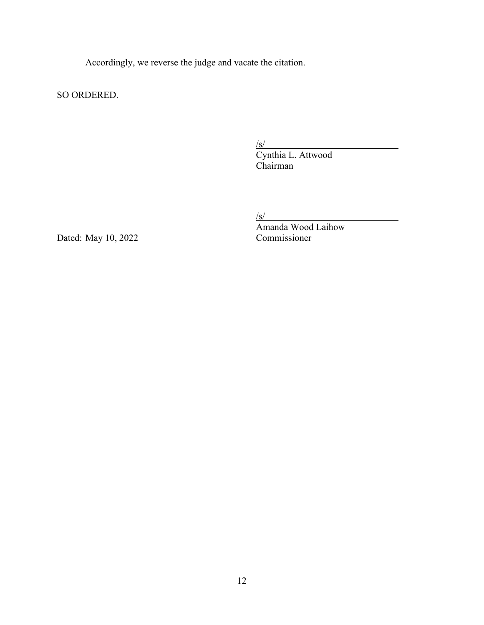Accordingly, we reverse the judge and vacate the citation.

SO ORDERED.

 $\overline{\phantom{a}}$ 

 Chairman SO ORDERED.  $\frac{S}{\sqrt{S}}$ <br>Cynthia L. Attwood

 $\sqrt{s}$ 

Dated: May 10, 2022

Amanda Wood Laihow<br>Commissioner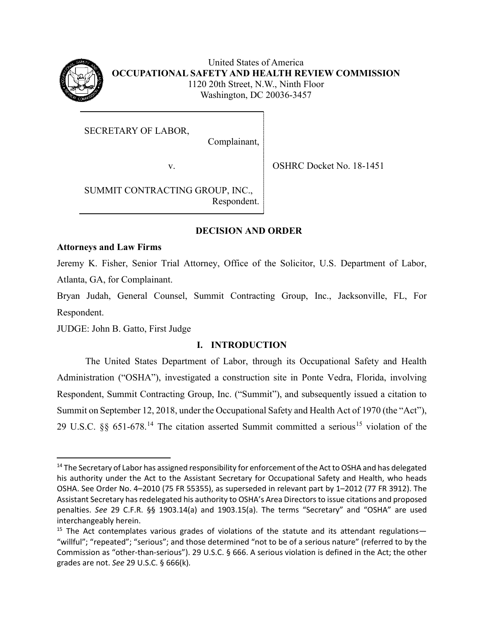

United States of America **OCCUPATIONAL SAFETY AND HEALTH REVIEW COMMISSION**  1120 20th Street, N.W., Ninth Floor Washington, DC 20036-3457

SECRETARY OF LABOR,

Complainant,

v. SHRC Docket No. 18-1451

SUMMIT CONTRACTING GROUP, INC., Respondent.

# **DECISION AND ORDER**

## **Attorneys and Law Firms**

Jeremy K. Fisher, Senior Trial Attorney, Office of the Solicitor, U.S. Department of Labor, Atlanta, GA, for Complainant.

Bryan Judah, General Counsel, Summit Contracting Group, Inc., Jacksonville, FL, For Respondent.

JUDGE: John B. Gatto, First Judge

# **I. INTRODUCTION**

The United States Department of Labor, through its Occupational Safety and Health Administration ("OSHA"), investigated a construction site in Ponte Vedra, Florida, involving Respondent, Summit Contracting Group, Inc. ("Summit"), and subsequently issued a citation to Summit on September 12, 2018, under the Occupational Safety and Health Act of 1970 (the "Act"), 29 U.S.C.  $\S$  651-678.<sup>14</sup> The citation asserted Summit committed a serious<sup>15</sup> violation of the

<sup>&</sup>lt;sup>14</sup> The Secretary of Labor has assigned responsibility for enforcement of the Act to OSHA and has delegated OSHA. See Order No. 4–2010 (75 FR 55355), as superseded in relevant part by 1–2012 (77 FR 3912). The his authority under the Act to the Assistant Secretary for Occupational Safety and Health, who heads Assistant Secretary has redelegated his authority to OSHA's Area Directors to issue citations and proposed penalties. *See* 29 C.F.R. §§ 1903.14(a) and 1903.15(a). The terms "Secretary" and "OSHA" are used interchangeably herein.

 $15$  The Act contemplates various grades of violations of the statute and its attendant regulations- "willful"; "repeated"; "serious"; and those determined "not to be of a serious nature" (referred to by the Commission as "other-than-serious"). 29 U.S.C. § 666. A serious violation is defined in the Act; the other grades are not. *See* 29 U.S.C. § 666(k)*.*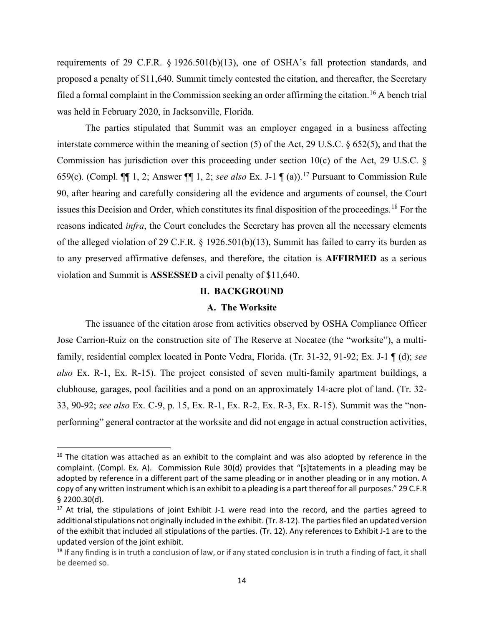requirements of 29 C.F.R. § 1926.501(b)(13), one of OSHA's fall protection standards, and proposed a penalty of \$11,640. Summit timely contested the citation, and thereafter, the Secretary filed a formal complaint in the Commission seeking an order affirming the citation.<sup>16</sup> A bench trial was held in February 2020, in Jacksonville, Florida.

 The parties stipulated that Summit was an employer engaged in a business affecting 659(c). (Compl.  $\P\P$  1, 2; Answer  $\P\P$  1, 2; *see also* Ex. J-1  $\P$  (a)).<sup>17</sup> Pursuant to Commission Rule interstate commerce within the meaning of section (5) of the Act, 29 U.S.C. § 652(5), and that the Commission has jurisdiction over this proceeding under section  $10(c)$  of the Act, 29 U.S.C. § 90, after hearing and carefully considering all the evidence and arguments of counsel, the Court issues this Decision and Order, which constitutes its final disposition of the proceedings.<sup>18</sup> For the reasons indicated *infra*, the Court concludes the Secretary has proven all the necessary elements of the alleged violation of 29 C.F.R. § 1926.501(b)(13), Summit has failed to carry its burden as to any preserved affirmative defenses, and therefore, the citation is **AFFIRMED** as a serious violation and Summit is **ASSESSED** a civil penalty of \$11,640.

# **II. BACKGROUND**

## **A. The Worksite**

 33, 90-92; *see also* Ex. C-9, p. 15, Ex. R-1, Ex. R-2, Ex. R-3, Ex. R-15). Summit was the "non- performing" general contractor at the worksite and did not engage in actual construction activities, The issuance of the citation arose from activities observed by OSHA Compliance Officer Jose Carrion-Ruiz on the construction site of The Reserve at Nocatee (the "worksite"), a multifamily, residential complex located in Ponte Vedra, Florida. (Tr. 31-32, 91-92; Ex. J-1 ¶ (d); *see also* Ex. R-1, Ex. R-15). The project consisted of seven multi-family apartment buildings, a clubhouse, garages, pool facilities and a pond on an approximately 14-acre plot of land. (Tr. 32-

 complaint. (Compl. Ex. A). Commission Rule 30(d) provides that "[s]tatements in a pleading may be adopted by reference in a different part of the same pleading or in another pleading or in any motion. A copy of any written instrument which is an exhibit to a pleading is a part thereof for all purposes." 29 C.F.R  $$2200.30(d).$  $16$  The citation was attached as an exhibit to the complaint and was also adopted by reference in the

 additional stipulations not originally included in the exhibit. (Tr. 8-12). The parties filed an updated version  $17$  At trial, the stipulations of joint Exhibit J-1 were read into the record, and the parties agreed to of the exhibit that included all stipulations of the parties. (Tr. 12). Any references to Exhibit J-1 are to the updated version of the joint exhibit.

<sup>&</sup>lt;sup>18</sup> If any finding is in truth a conclusion of law, or if any stated conclusion is in truth a finding of fact, it shall be deemed so.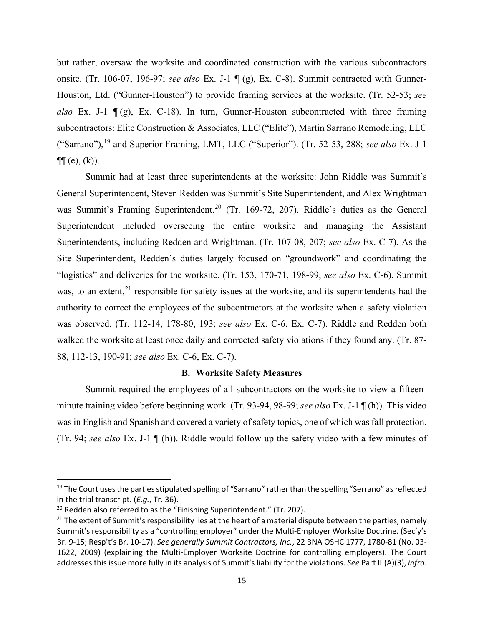onsite. (Tr. 106-07, 196-97; *see also* Ex. J-1 ¶ (g), Ex. C-8). Summit contracted with Gunner- *also* Ex. J-1 ¶ (g), Ex. C-18). In turn, Gunner-Houston subcontracted with three framing ("Sarrano"),19 and Superior Framing, LMT, LLC ("Superior"). (Tr. 52-53, 288; *see also* Ex. J-1 but rather, oversaw the worksite and coordinated construction with the various subcontractors Houston, Ltd. ("Gunner-Houston") to provide framing services at the worksite. (Tr. 52-53; *see*  subcontractors: Elite Construction & Associates, LLC ("Elite"), Martin Sarrano Remodeling, LLC  $\P\P$  (e), (k)).

 Summit had at least three superintendents at the worksite: John Riddle was Summit's Superintendent included overseeing the entire worksite and managing the Assistant was observed. (Tr. 112-14, 178-80, 193; *see also* Ex. C-6, Ex. C-7). Riddle and Redden both walked the worksite at least once daily and corrected safety violations if they found any. (Tr. 87- General Superintendent, Steven Redden was Summit's Site Superintendent, and Alex Wrightman was Summit's Framing Superintendent.<sup>20</sup> (Tr. 169-72, 207). Riddle's duties as the General Superintendents, including Redden and Wrightman. (Tr. 107-08, 207; *see also* Ex. C-7). As the Site Superintendent, Redden's duties largely focused on "groundwork" and coordinating the "logistics" and deliveries for the worksite. (Tr. 153, 170-71, 198-99; *see also* Ex. C-6). Summit was, to an extent,  $2^1$  responsible for safety issues at the worksite, and its superintendents had the authority to correct the employees of the subcontractors at the worksite when a safety violation 88, 112-13, 190-91; *see also* Ex. C-6, Ex. C-7).

#### **B. Worksite Safety Measures**

Summit required the employees of all subcontractors on the worksite to view a fifteenminute training video before beginning work. (Tr. 93-94, 98-99; *see also* Ex. J-1 ¶ (h)). This video was in English and Spanish and covered a variety of safety topics, one of which was fall protection. (Tr. 94; *see also* Ex. J-1 ¶ (h)). Riddle would follow up the safety video with a few minutes of

<sup>&</sup>lt;sup>19</sup> The Court uses the parties stipulated spelling of "Sarrano" rather than the spelling "Serrano" as reflected in the trial transcript. (*E.g.*, Tr. 36).<br><sup>20</sup> Redden also referred to as the "Finishing Superintendent." (Tr. 207).

<sup>&</sup>lt;sup>20</sup> Redden also referred to as the "Finishing Superintendent." (Tr. 207).<br><sup>21</sup> The extent of Summit's responsibility lies at the heart of a material dispute between the parties, namely Summit's responsibility as a "controlling employer" under the Multi-Employer Worksite Doctrine. (Sec'y's addresses this issue more fully in its analysis of Summit's liability for the violations. *See* Part III(A)(3), *infra*. Br. 9-15; Resp't's Br. 10-17). *See generally Summit Contractors, Inc.*, 22 BNA OSHC 1777, 1780-81 (No. 03- 1622, 2009) (explaining the Multi-Employer Worksite Doctrine for controlling employers). The Court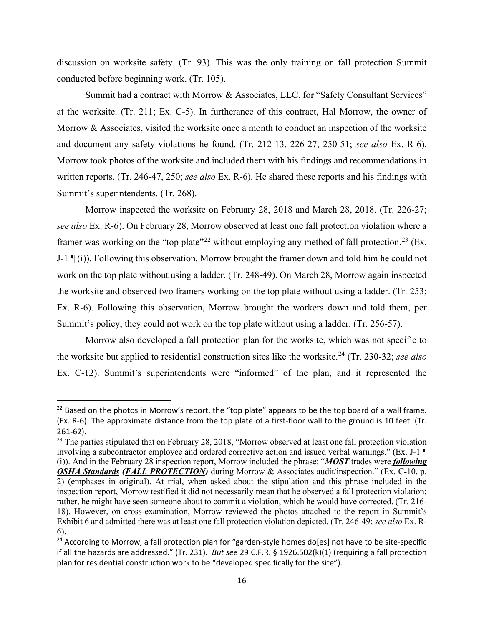discussion on worksite safety. (Tr. 93). This was the only training on fall protection Summit conducted before beginning work. (Tr. 105).

 written reports. (Tr. 246-47, 250; *see also* Ex. R-6). He shared these reports and his findings with Summit had a contract with Morrow & Associates, LLC, for "Safety Consultant Services" at the worksite. (Tr. 211; Ex. C-5). In furtherance of this contract, Hal Morrow, the owner of Morrow & Associates, visited the worksite once a month to conduct an inspection of the worksite and document any safety violations he found. (Tr. 212-13, 226-27, 250-51; *see also* Ex. R-6). Morrow took photos of the worksite and included them with his findings and recommendations in Summit's superintendents. (Tr. 268).

 work on the top plate without using a ladder. (Tr. 248-49). On March 28, Morrow again inspected Morrow inspected the worksite on February 28, 2018 and March 28, 2018. (Tr. 226-27; *see also* Ex. R-6). On February 28, Morrow observed at least one fall protection violation where a framer was working on the "top plate"<sup>22</sup> without employing any method of fall protection.<sup>23</sup> (Ex. J-1  $\P$ (i)). Following this observation, Morrow brought the framer down and told him he could not the worksite and observed two framers working on the top plate without using a ladder. (Tr. 253; Ex. R-6). Following this observation, Morrow brought the workers down and told them, per Summit's policy, they could not work on the top plate without using a ladder. (Tr. 256-57).

 the worksite but applied to residential construction sites like the worksite.24 (Tr. 230-32; *see also*  Morrow also developed a fall protection plan for the worksite, which was not specific to Ex. C-12). Summit's superintendents were "informed" of the plan, and it represented the

 $^{22}$  Based on the photos in Morrow's report, the "top plate" appears to be the top board of a wall frame. (Ex. R-6). The approximate distance from the top plate of a first-floor wall to the ground is 10 feet. (Tr. 261-62).

<sup>&</sup>lt;sup>23</sup> The parties stipulated that on February 28, 2018, "Morrow observed at least one fall protection violation rather, he might have seen someone about to commit a violation, which he would have corrected. (Tr. 216- Exhibit 6 and admitted there was at least one fall protection violation depicted. (Tr. 246-49; *see also* Ex. Rinvolving a subcontractor employee and ordered corrective action and issued verbal warnings." (Ex. J-1 ¶ (i)). And in the February 28 inspection report, Morrow included the phrase: "*MOST* trades were *following OSHA Standards (FALL PROTECTION)* during Morrow & Associates audit/inspection." (Ex. C-10, p. 2) (emphases in original). At trial, when asked about the stipulation and this phrase included in the inspection report, Morrow testified it did not necessarily mean that he observed a fall protection violation; 18). However, on cross-examination, Morrow reviewed the photos attached to the report in Summit's 6).

 if all the hazards are addressed." (Tr. 231). *But see* 29 C.F.R. § 1926.502(k)(1) (requiring a fall protection <sup>24</sup> According to Morrow, a fall protection plan for "garden-style homes do[es] not have to be site-specific plan for residential construction work to be "developed specifically for the site").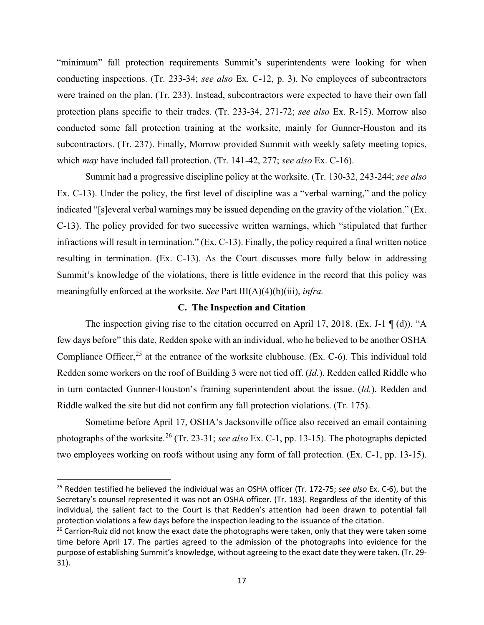conducting inspections. (Tr. 233-34; *see also* Ex. C-12, p. 3). No employees of subcontractors protection plans specific to their trades. (Tr. 233-34, 271-72; *see also* Ex. R-15). Morrow also subcontractors. (Tr. 237). Finally, Morrow provided Summit with weekly safety meeting topics, which *may* have included fall protection. (Tr. 141-42, 277; *see also* Ex. C-16). "minimum" fall protection requirements Summit's superintendents were looking for when were trained on the plan. (Tr. 233). Instead, subcontractors were expected to have their own fall conducted some fall protection training at the worksite, mainly for Gunner-Houston and its

 Summit had a progressive discipline policy at the worksite. (Tr. 130-32, 243-244; *see also*  Ex. C-13). Under the policy, the first level of discipline was a "verbal warning," and the policy indicated "[s]everal verbal warnings may be issued depending on the gravity of the violation." (Ex. C-13). The policy provided for two successive written warnings, which "stipulated that further infractions will result in termination." (Ex. C-13). Finally, the policy required a final written notice resulting in termination. (Ex. C-13). As the Court discusses more fully below in addressing Summit's knowledge of the violations, there is little evidence in the record that this policy was meaningfully enforced at the worksite. *See* Part III(A)(4)(b)(iii), *infra.* 

## **C. The Inspection and Citation**

 Redden some workers on the roof of Building 3 were not tied off. (*Id.*). Redden called Riddle who The inspection giving rise to the citation occurred on April 17, 2018. (Ex. J-1 ¶ (d)). "A few days before" this date, Redden spoke with an individual, who he believed to be another OSHA Compliance Officer,<sup>25</sup> at the entrance of the worksite clubhouse. (Ex. C-6). This individual told in turn contacted Gunner-Houston's framing superintendent about the issue. (*Id.*). Redden and Riddle walked the site but did not confirm any fall protection violations. (Tr. 175).

 photographs of the worksite.26 (Tr. 23-31; *see also* Ex. C-1, pp. 13-15). The photographs depicted Sometime before April 17, OSHA's Jacksonville office also received an email containing two employees working on roofs without using any form of fall protection. (Ex. C-1, pp. 13-15).

 25 Redden testified he believed the individual was an OSHA officer (Tr. 172-75; *see also* Ex. C-6), but the individual, the salient fact to the Court is that Redden's attention had been drawn to potential fall protection violations a few days before the inspection leading to the issuance of the citation. Secretary's counsel represented it was not an OSHA officer. (Tr. 183). Regardless of the identity of this

 time before April 17. The parties agreed to the admission of the photographs into evidence for the purpose of establishing Summit's knowledge, without agreeing to the exact date they were taken. (Tr. 29- <sup>26</sup> Carrion-Ruiz did not know the exact date the photographs were taken, only that they were taken some 31).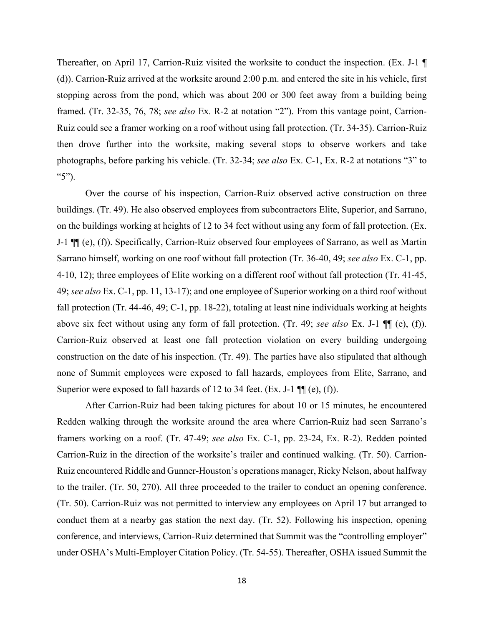photographs, before parking his vehicle. (Tr. 32-34; *see also* Ex. C-1, Ex. R-2 at notations "3" to Thereafter, on April 17, Carrion-Ruiz visited the worksite to conduct the inspection. (Ex. J-1 ¶ (d)). Carrion-Ruiz arrived at the worksite around 2:00 p.m. and entered the site in his vehicle, first stopping across from the pond, which was about 200 or 300 feet away from a building being framed. (Tr. 32-35, 76, 78; *see also* Ex. R-2 at notation "2"). From this vantage point, Carrion-Ruiz could see a framer working on a roof without using fall protection. (Tr. 34-35). Carrion-Ruiz then drove further into the worksite, making several stops to observe workers and take "5").

 Sarrano himself, working on one roof without fall protection (Tr. 36-40, 49; *see also* Ex. C-1, pp. 49; *see also* Ex. C-1, pp. 11, 13-17); and one employee of Superior working on a third roof without Over the course of his inspection, Carrion-Ruiz observed active construction on three buildings. (Tr. 49). He also observed employees from subcontractors Elite, Superior, and Sarrano, on the buildings working at heights of 12 to 34 feet without using any form of fall protection. (Ex. J-1 ¶¶ (e), (f)). Specifically, Carrion-Ruiz observed four employees of Sarrano, as well as Martin 4-10, 12); three employees of Elite working on a different roof without fall protection (Tr. 41-45, fall protection (Tr. 44-46, 49; C-1, pp. 18-22), totaling at least nine individuals working at heights above six feet without using any form of fall protection. (Tr. 49; *see also* Ex. J-1 ¶¶ (e), (f)). Carrion-Ruiz observed at least one fall protection violation on every building undergoing construction on the date of his inspection. (Tr. 49). The parties have also stipulated that although none of Summit employees were exposed to fall hazards, employees from Elite, Sarrano, and Superior were exposed to fall hazards of 12 to 34 feet. (Ex. J-1  $\P$  $(e)$ , (f)).

 framers working on a roof. (Tr. 47-49; *see also* Ex. C-1, pp. 23-24, Ex. R-2). Redden pointed After Carrion-Ruiz had been taking pictures for about 10 or 15 minutes, he encountered Redden walking through the worksite around the area where Carrion-Ruiz had seen Sarrano's Carrion-Ruiz in the direction of the worksite's trailer and continued walking. (Tr. 50). Carrion-Ruiz encountered Riddle and Gunner-Houston's operations manager, Ricky Nelson, about halfway to the trailer. (Tr. 50, 270). All three proceeded to the trailer to conduct an opening conference. (Tr. 50). Carrion-Ruiz was not permitted to interview any employees on April 17 but arranged to conduct them at a nearby gas station the next day. (Tr. 52). Following his inspection, opening conference, and interviews, Carrion-Ruiz determined that Summit was the "controlling employer" under OSHA's Multi-Employer Citation Policy. (Tr. 54-55). Thereafter, OSHA issued Summit the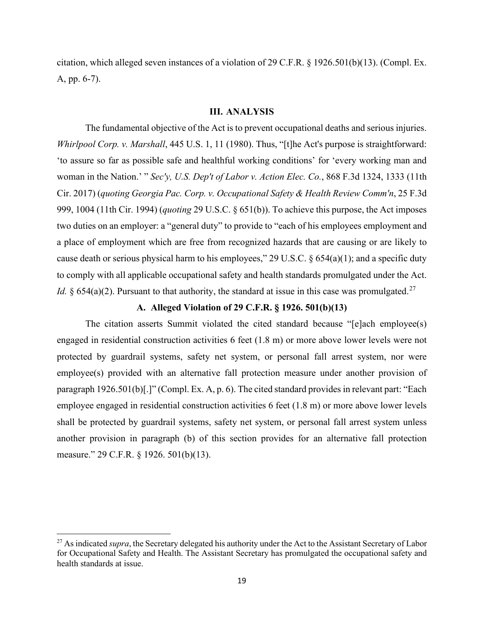citation, which alleged seven instances of a violation of 29 C.F.R. § 1926.501(b)(13). (Compl. Ex. A, pp. 6-7).

### **III. ANALYSIS**

The fundamental objective of the Act is to prevent occupational deaths and serious injuries. *Whirlpool Corp. v. Marshall*, 445 U.S. 1, 11 (1980). Thus, "[t]he Act's purpose is straightforward: 'to assure so far as possible safe and healthful working conditions' for 'every working man and woman in the Nation.' " *Sec'y, U.S. Dep't of Labor v. Action Elec. Co.*, 868 F.3d 1324, 1333 (11th Cir. 2017) (*quoting Georgia Pac. Corp. v. Occupational Safety & Health Review Comm'n*, 25 F.3d 999, 1004 (11th Cir. 1994) (*quoting* 29 U.S.C. § 651(b)). To achieve this purpose, the Act imposes two duties on an employer: a "general duty" to provide to "each of his employees employment and a place of employment which are free from recognized hazards that are causing or are likely to cause death or serious physical harm to his employees," 29 U.S.C.  $\S 654(a)(1)$ ; and a specific duty to comply with all applicable occupational safety and health standards promulgated under the Act. *Id.* § 654(a)(2). Pursuant to that authority, the standard at issue in this case was promulgated.<sup>27</sup>

## **A. Alleged Violation of 29 C.F.R. § 1926. 501(b)(13)**

 engaged in residential construction activities 6 feet (1.8 m) or more above lower levels were not paragraph 1926.501(b)[.]" (Compl. Ex. A, p. 6). The cited standard provides in relevant part: "Each The citation asserts Summit violated the cited standard because "[e]ach employee(s) protected by guardrail systems, safety net system, or personal fall arrest system, nor were employee(s) provided with an alternative fall protection measure under another provision of employee engaged in residential construction activities 6 feet (1.8 m) or more above lower levels shall be protected by guardrail systems, safety net system, or personal fall arrest system unless another provision in paragraph (b) of this section provides for an alternative fall protection measure." 29 C.F.R. § 1926. 501(b)(13).

<sup>&</sup>lt;sup>27</sup> As indicated *supra*, the Secretary delegated his authority under the Act to the Assistant Secretary of Labor for Occupational Safety and Health. The Assistant Secretary has promulgated the occupational safety and health standards at issue.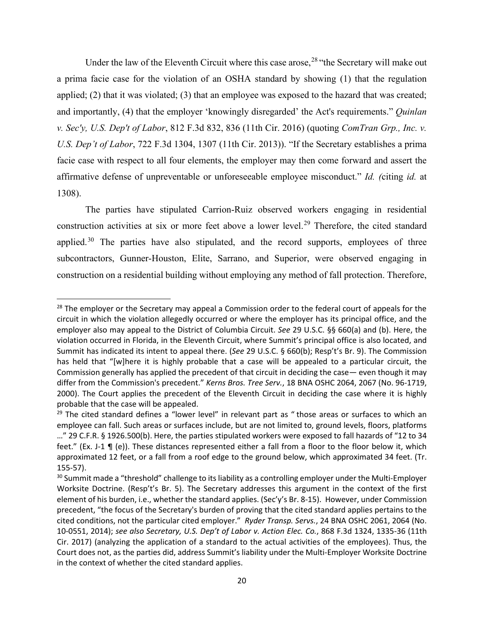*U.S. Dep't of Labor*, 722 F.3d 1304, 1307 (11th Cir. 2013)). "If the Secretary establishes a prima Under the law of the Eleventh Circuit where this case arose,  $28$  "the Secretary will make out a prima facie case for the violation of an OSHA standard by showing (1) that the regulation applied; (2) that it was violated; (3) that an employee was exposed to the hazard that was created; and importantly, (4) that the employer 'knowingly disregarded' the Act's requirements." *Quinlan v. Sec'y, U.S. Dep't of Labor*, 812 F.3d 832, 836 (11th Cir. 2016) (quoting *ComTran Grp., Inc. v.*  facie case with respect to all four elements, the employer may then come forward and assert the affirmative defense of unpreventable or unforeseeable employee misconduct." *Id. (*citing *id.* at 1308).

The parties have stipulated Carrion-Ruiz observed workers engaging in residential construction activities at six or more feet above a lower level.<sup>29</sup> Therefore, the cited standard applied. $30$  The parties have also stipulated, and the record supports, employees of three subcontractors, Gunner-Houston, Elite, Sarrano, and Superior, were observed engaging in construction on a residential building without employing any method of fall protection. Therefore,

 circuit in which the violation allegedly occurred or where the employer has its principal office, and the Summit has indicated its intent to appeal there. (*See* 29 U.S.C. § 660(b); Resp't's Br. 9). The Commission <sup>28</sup> The employer or the Secretary may appeal a Commission order to the federal court of appeals for the employer also may appeal to the District of Columbia Circuit. *See* 29 U.S.C. §§ 660(a) and (b). Here, the violation occurred in Florida, in the Eleventh Circuit, where Summit's principal office is also located, and has held that "[w]here it is highly probable that a case will be appealed to a particular circuit, the Commission generally has applied the precedent of that circuit in deciding the case— even though it may differ from the Commission's precedent." *Kerns Bros. Tree Serv.*, 18 BNA OSHC 2064, 2067 (No. 96-1719, 2000). The Court applies the precedent of the Eleventh Circuit in deciding the case where it is highly probable that the case will be appealed.

 $29$  The cited standard defines a "lower level" in relevant part as "those areas or surfaces to which an feet." (Ex. J-1 ¶ (e)). These distances represented either a fall from a floor to the floor below it, which approximated 12 feet, or a fall from a roof edge to the ground below, which approximated 34 feet. (Tr. employee can fall. Such areas or surfaces include, but are not limited to, ground levels, floors, platforms …" 29 C.F.R. § 1926.500(b). Here, the parties stipulated workers were exposed to fall hazards of "12 to 34 155-57).

 element of his burden, i.e., whether the standard applies. (Sec'y's Br. 8-15). However, under Commission precedent, "the focus of the Secretary's burden of proving that the cited standard applies pertains to the cited conditions, not the particular cited employer." *Ryder Transp. Servs.*, 24 BNA OSHC 2061, 2064 (No. Cir. 2017) (analyzing the application of a standard to the actual activities of the employees). Thus, the <sup>30</sup> Summit made a "threshold" challenge to its liability as a controlling employer under the Multi-Employer Worksite Doctrine. (Resp't's Br. 5). The Secretary addresses this argument in the context of the first 10-0551, 2014); *see also Secretary, U.S. Dep't of Labor v. Action Elec. Co.*, 868 F.3d 1324, 1335-36 (11th Court does not, as the parties did, address Summit's liability under the Multi-Employer Worksite Doctrine in the context of whether the cited standard applies.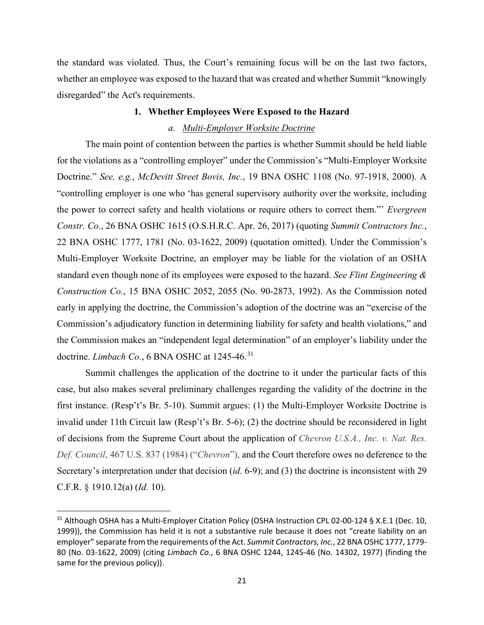the standard was violated. Thus, the Court's remaining focus will be on the last two factors, whether an employee was exposed to the hazard that was created and whether Summit "knowingly disregarded" the Act's requirements.

## **1. Whether Employees Were Exposed to the Hazard**

### *a. Multi-Employer Worksite Doctrine*

doctrine. *Limbach Co.*, 6 BNA OSHC at 1245-46.<sup>31</sup> The main point of contention between the parties is whether Summit should be held liable for the violations as a "controlling employer" under the Commission's "Multi-Employer Worksite Doctrine." *See, e.g.*, *McDevitt Street Bovis, Inc.*, 19 BNA OSHC 1108 (No. 97-1918, 2000). A "controlling employer is one who 'has general supervisory authority over the worksite, including the power to correct safety and health violations or require others to correct them."' *Evergreen Constr. Co.*, 26 BNA OSHC 1615 (O.S.H.R.C. Apr. 26, 2017) (quoting *Summit Contractors Inc.*, 22 BNA OSHC 1777, 1781 (No. 03-1622, 2009) (quotation omitted). Under the Commission's Multi-Employer Worksite Doctrine, an employer may be liable for the violation of an OSHA standard even though none of its employees were exposed to the hazard. *See Flint Engineering & Construction Co.*, 15 BNA OSHC 2052, 2055 (No. 90-2873, 1992). As the Commission noted early in applying the doctrine, the Commission's adoption of the doctrine was an "exercise of the Commission's adjudicatory function in determining liability for safety and health violations," and the Commission makes an "independent legal determination" of an employer's liability under the

 first instance. (Resp't's Br. 5-10). Summit argues: (1) the Multi-Employer Worksite Doctrine is invalid under 11th Circuit law (Resp't's Br. 5-6); (2) the doctrine should be reconsidered in light of decisions from the Supreme Court about the application of *Chevron U.S.A., Inc. v. Nat. Res.*  Summit challenges the application of the doctrine to it under the particular facts of this case, but also makes several preliminary challenges regarding the validity of the doctrine in the *Def. Council*, 467 U.S. 837 (1984) ("*Chevron*"), and the Court therefore owes no deference to the Secretary's interpretation under that decision (*id.* 6-9); and (3) the doctrine is inconsistent with 29 C.F.R. § 1910.12(a) (*Id.* 10).

<sup>&</sup>lt;sup>31</sup> Although OSHA has a Multi-Employer Citation Policy (OSHA Instruction CPL 02-00-124 § X.E.1 (Dec. 10, 1999)), the Commission has held it is not a substantive rule because it does not "create liability on an employer" separate from the requirements of the Act. *Summit Contractors, Inc.*, 22 BNA OSHC 1777, 1779- 80 (No. 03-1622, 2009) (citing *Limbach Co.*, 6 BNA OSHC 1244, 1245-46 (No. 14302, 1977) (finding the same for the previous policy)).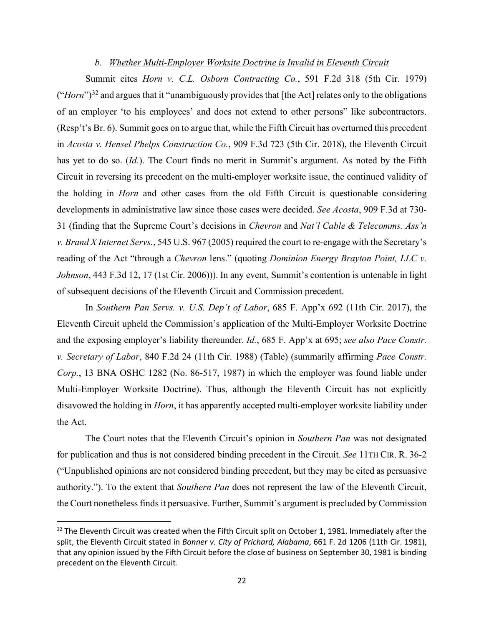## **b.** Whether Multi-Employer Worksite Doctrine is Invalid in Eleventh Circuit

Summit cites *Horn v. C.L. Osborn Contracting Co.*, 591 F.2d 318 (5th Cir. 1979) ("*Horn*")<sup>32</sup> and argues that it "unambiguously provides that [the Act] relates only to the obligations of an employer 'to his employees' and does not extend to other persons" like subcontractors. (Resp't's Br. 6). Summit goes on to argue that, while the Fifth Circuit has overturned this precedent in *Acosta v. Hensel Phelps Construction Co.*, 909 F.3d 723 (5th Cir. 2018), the Eleventh Circuit has yet to do so. *(Id.)*. The Court finds no merit in Summit's argument. As noted by the Fifth Circuit in reversing its precedent on the multi-employer worksite issue, the continued validity of the holding in *Horn* and other cases from the old Fifth Circuit is questionable considering developments in administrative law since those cases were decided. *See Acosta*, 909 F.3d at 730- 31 (finding that the Supreme Court's decisions in *Chevron* and *Nat'l Cable & Telecomms. Ass'n v. Brand X Internet Servs.*, 545 U.S. 967 (2005) required the court to re-engage with the Secretary's reading of the Act "through a *Chevron* lens." (quoting *Dominion Energy Brayton Point, LLC v. Johnson*, 443 F.3d 12, 17 (1st Cir. 2006))). In any event, Summit's contention is untenable in light of subsequent decisions of the Eleventh Circuit and Commission precedent.

In *Southern Pan Servs. v. U.S. Dep't of Labor*, 685 F. App'x 692 (11th Cir. 2017), the Eleventh Circuit upheld the Commission's application of the Multi-Employer Worksite Doctrine and the exposing employer's liability thereunder. *Id.*, 685 F. App'x at 695; *see also Pace Constr. v. Secretary of Labor*, 840 F.2d 24 (11th Cir. 1988) (Table) (summarily affirming *Pace Constr. Corp.*, 13 BNA OSHC 1282 (No. 86-517, 1987) in which the employer was found liable under Multi-Employer Worksite Doctrine). Thus, although the Eleventh Circuit has not explicitly disavowed the holding in *Horn*, it has apparently accepted multi-employer worksite liability under the Act.

 for publication and thus is not considered binding precedent in the Circuit. *See* 11TH CIR. R. 36-2 The Court notes that the Eleventh Circuit's opinion in *Southern Pan* was not designated ("Unpublished opinions are not considered binding precedent, but they may be cited as persuasive authority."). To the extent that *Southern Pan* does not represent the law of the Eleventh Circuit, the Court nonetheless finds it persuasive. Further, Summit's argument is precluded by Commission

 split, the Eleventh Circuit stated in *Bonner v. City of Prichard, Alabama*, 661 F. 2d 1206 (11th Cir. 1981), that any opinion issued by the Fifth Circuit before the close of business on September 30, 1981 is binding precedent on the Eleventh Circuit.  $32$  The Eleventh Circuit was created when the Fifth Circuit split on October 1, 1981. Immediately after the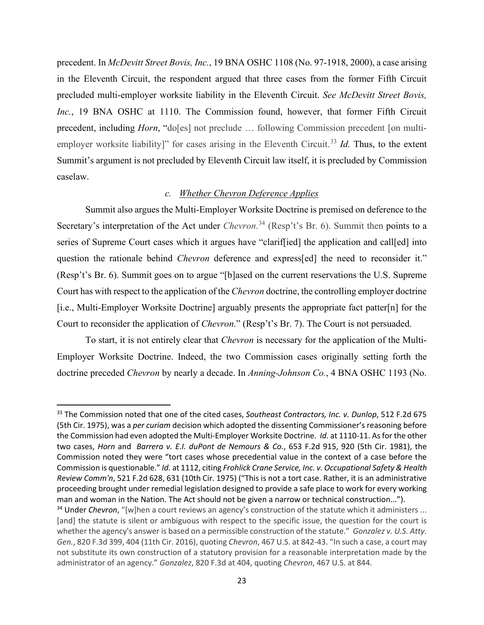in the Eleventh Circuit, the respondent argued that three cases from the former Fifth Circuit precedent. In *McDevitt Street Bovis, Inc.*, 19 BNA OSHC 1108 (No. 97-1918, 2000), a case arising precluded multi-employer worksite liability in the Eleventh Circuit. *See McDevitt Street Bovis, Inc.*, 19 BNA OSHC at 1110. The Commission found, however, that former Fifth Circuit precedent, including *Horn*, "do[es] not preclude ... following Commission precedent [on multiemployer worksite liability]" for cases arising in the Eleventh Circuit.<sup>33</sup> Id. Thus, to the extent Summit's argument is not precluded by Eleventh Circuit law itself, it is precluded by Commission caselaw.

#### *c. Whether Chevron Deference Applies*

 Secretary's interpretation of the Act under *Chevron*. 34 (Resp't's Br. 6). Summit then points to a Summit also argues the Multi-Employer Worksite Doctrine is premised on deference to the series of Supreme Court cases which it argues have "clariffied] the application and call[ed] into question the rationale behind *Chevron* deference and express[ed] the need to reconsider it." (Resp't's Br. 6). Summit goes on to argue "[b]ased on the current reservations the U.S. Supreme Court has with respect to the application of the *Chevron* doctrine, the controlling employer doctrine [i.e., Multi-Employer Worksite Doctrine] arguably presents the appropriate fact patter[n] for the Court to reconsider the application of *Chevron*." (Resp't's Br. 7). The Court is not persuaded.

 Employer Worksite Doctrine. Indeed, the two Commission cases originally setting forth the To start, it is not entirely clear that *Chevron* is necessary for the application of the Multidoctrine preceded *Chevron* by nearly a decade. In *Anning-Johnson Co.*, 4 BNA OSHC 1193 (No.

 (5th Cir. 1975), was a *per curiam* decision which adopted the dissenting Commissioner's reasoning before two cases, *Horn* and *Barrera v. E.I. duPont de Nemours & Co.*, 653 F.2d 915, 920 (5th Cir. 1981), the Commission noted they were "tort cases whose precedential value in the context of a case before the Commission is questionable." *Id.* at 1112, citing *Frohlick Crane Service, Inc. v. Occupational Safety & Health*  proceeding brought under remedial legislation designed to provide a safe place to work for every working man and woman in the Nation. The Act should not be given a narrow or technical construction..."). 33 The Commission noted that one of the cited cases, *Southeast Contractors, Inc. v. Dunlop*, 512 F.2d 675 the Commission had even adopted the Multi-Employer Worksite Doctrine. *Id.* at 1110-11. As for the other *Review Comm'n*, 521 F.2d 628, 631 (10th Cir. 1975) ("This is not a tort case. Rather, it is an administrative

 whether the agency's answer is based on a permissible construction of the statute." *Gonzalez v. U.S. Atty. Gen.*, 820 F.3d 399, 404 (11th Cir. 2016), quoting *Chevron*, 467 U.S. at 842-43. "In such a case, a court may not substitute its own construction of a statutory provision for a reasonable interpretation made by the <sup>34</sup> Under *Chevron*, "[w]hen a court reviews an agency's construction of the statute which it administers ... [and] the statute is silent or ambiguous with respect to the specific issue, the question for the court is administrator of an agency." *Gonzalez*, 820 F.3d at 404, quoting *Chevron*, 467 U.S. at 844.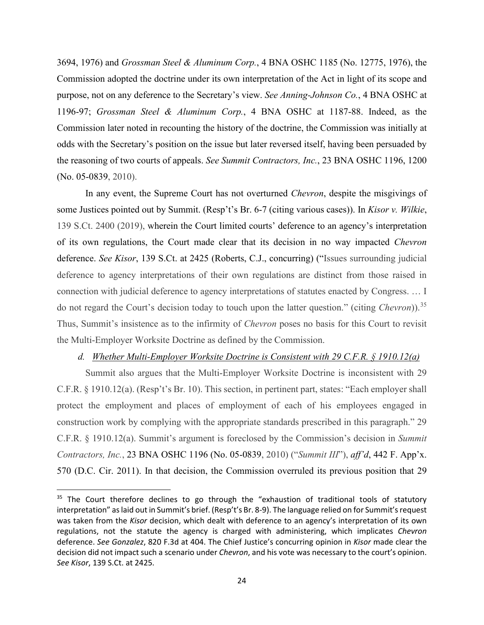3694, 1976) and *Grossman Steel & Aluminum Corp.*, 4 BNA OSHC 1185 (No. 12775, 1976), the Commission adopted the doctrine under its own interpretation of the Act in light of its scope and purpose, not on any deference to the Secretary's view. *See Anning-Johnson Co.*, 4 BNA OSHC at 1196-97; *Grossman Steel & Aluminum Corp.*, 4 BNA OSHC at 1187-88. Indeed, as the Commission later noted in recounting the history of the doctrine, the Commission was initially at odds with the Secretary's position on the issue but later reversed itself, having been persuaded by the reasoning of two courts of appeals. *See Summit Contractors, Inc.*, 23 BNA OSHC 1196, 1200 (No. 05-0839, 2010).

In any event, the Supreme Court has not overturned *Chevron*, despite the misgivings of some Justices pointed out by Summit. (Resp't's Br. 6-7 (citing various cases)). In *Kisor v. Wilkie*, 139 S.Ct. 2400 (2019), wherein the Court limited courts' deference to an agency's interpretation of its own regulations, the Court made clear that its decision in no way impacted *Chevron*  deference. *See Kisor*, 139 S.Ct. at 2425 (Roberts, C.J., concurring) ("Issues surrounding judicial deference to agency interpretations of their own regulations are distinct from those raised in connection with judicial deference to agency interpretations of statutes enacted by Congress. … I do not regard the Court's decision today to touch upon the latter question." (citing *Chevron*)).<sup>35</sup> Thus, Summit's insistence as to the infirmity of *Chevron* poses no basis for this Court to revisit the Multi-Employer Worksite Doctrine as defined by the Commission.

# *d. Whether Multi-Employer Worksite Doctrine is Consistent with 29 C.F.R. § 1910.12(a)*

 construction work by complying with the appropriate standards prescribed in this paragraph." 29 Summit also argues that the Multi-Employer Worksite Doctrine is inconsistent with 29 C.F.R. § 1910.12(a). (Resp't's Br. 10). This section, in pertinent part, states: "Each employer shall protect the employment and places of employment of each of his employees engaged in C.F.R. § 1910.12(a). Summit's argument is foreclosed by the Commission's decision in *Summit Contractors, Inc.*, 23 BNA OSHC 1196 (No. 05-0839, 2010) ("*Summit III*"), *aff'd*, 442 F. App'x. 570 (D.C. Cir. 2011). In that decision, the Commission overruled its previous position that 29

 was taken from the *Kisor* decision, which dealt with deference to an agency's interpretation of its own decision did not impact such a scenario under *Chevron*, and his vote was necessary to the court's opinion. <sup>35</sup> The Court therefore declines to go through the "exhaustion of traditional tools of statutory interpretation" as laid out in Summit's brief. (Resp't's Br. 8-9). The language relied on for Summit's request regulations, not the statute the agency is charged with administering, which implicates *Chevron*  deference. *See Gonzalez*, 820 F.3d at 404. The Chief Justice's concurring opinion in *Kisor* made clear the *See Kisor*, 139 S.Ct. at 2425.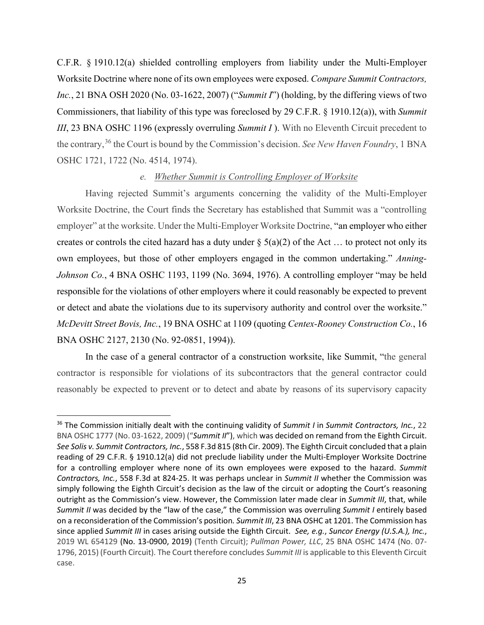C.F.R. § 1910.12(a) shielded controlling employers from liability under the Multi-Employer Worksite Doctrine where none of its own employees were exposed. *Compare Summit Contractors, Inc.*, 21 BNA OSH 2020 (No. 03-1622, 2007) ("*Summit I*") (holding, by the differing views of two Commissioners, that liability of this type was foreclosed by 29 C.F.R. § 1910.12(a)), with *Summit III*, 23 BNA OSHC 1196 (expressly overruling *Summit I*). With no Eleventh Circuit precedent to the contrary,36 the Court is bound by the Commission's decision. *See New Haven Foundry*, 1 BNA OSHC 1721, 1722 (No. 4514, 1974).

## *e. Whether Summit is Controlling Employer of Worksite*

Having rejected Summit's arguments concerning the validity of the Multi-Employer Worksite Doctrine, the Court finds the Secretary has established that Summit was a "controlling employer" at the worksite. Under the Multi-Employer Worksite Doctrine, "an employer who either creates or controls the cited hazard has a duty under  $\S(5(a)(2))$  of the Act ... to protect not only its own employees, but those of other employers engaged in the common undertaking." *Anning-Johnson Co.*, 4 BNA OSHC 1193, 1199 (No. 3694, 1976). A controlling employer "may be held responsible for the violations of other employers where it could reasonably be expected to prevent or detect and abate the violations due to its supervisory authority and control over the worksite." *McDevitt Street Bovis, Inc.*, 19 BNA OSHC at 1109 (quoting *Centex-Rooney Construction Co.*, 16 BNA OSHC 2127, 2130 (No. 92-0851, 1994)).

In the case of a general contractor of a construction worksite, like Summit, "the general contractor is responsible for violations of its subcontractors that the general contractor could reasonably be expected to prevent or to detect and abate by reasons of its supervisory capacity

 36 The Commission initially dealt with the continuing validity of *Summit I* in *Summit Contractors, Inc.*, 22 BNA OSHC 1777 (No. 03-1622, 2009) ("*Summit II*"), which was decided on remand from the Eighth Circuit. for a controlling employer where none of its own employees were exposed to the hazard. *Summit Contractors, Inc.*, 558 F.3d at 824-25. It was perhaps unclear in *Summit II* whether the Commission was simply following the Eighth Circuit's decision as the law of the circuit or adopting the Court's reasoning outright as the Commission's view. However, the Commission later made clear in *Summit III*, that, while since applied *Summit III* in cases arising outside the Eighth Circuit. *See, e.g.*, *Suncor Energy (U.S.A.), Inc.*, 2019 WL 654129 (No. 13-0900, 2019) (Tenth Circuit); *Pullman Power, LLC*, 25 BNA OSHC 1474 (No. 07- *See Solis v. Summit Contractors, Inc.*, 558 F.3d 815 (8th Cir. 2009). The Eighth Circuit concluded that a plain reading of 29 C.F.R. § 1910.12(a) did not preclude liability under the Multi-Employer Worksite Doctrine *Summit II* was decided by the "law of the case," the Commission was overruling *Summit I* entirely based on a reconsideration of the Commission's position*. Summit III*, 23 BNA OSHC at 1201. The Commission has 1796, 2015) (Fourth Circuit). The Court therefore concludes *Summit III* is applicable to this Eleventh Circuit case.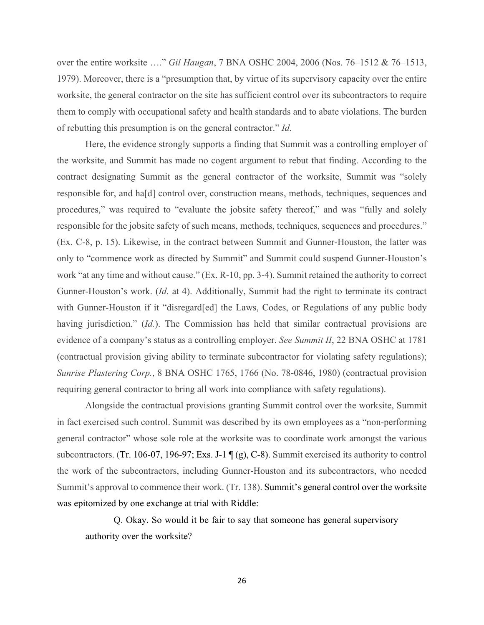over the entire worksite …." *Gil Haugan*, 7 BNA OSHC 2004, 2006 (Nos. 76–1512 & 76–1513, 1979). Moreover, there is a "presumption that, by virtue of its supervisory capacity over the entire worksite, the general contractor on the site has sufficient control over its subcontractors to require them to comply with occupational safety and health standards and to abate violations. The burden of rebutting this presumption is on the general contractor." *Id.* 

 work "at any time and without cause." (Ex. R-10, pp. 3-4). Summit retained the authority to correct evidence of a company's status as a controlling employer. *See Summit II*, 22 BNA OSHC at 1781 Here, the evidence strongly supports a finding that Summit was a controlling employer of the worksite, and Summit has made no cogent argument to rebut that finding. According to the contract designating Summit as the general contractor of the worksite, Summit was "solely responsible for, and ha[d] control over, construction means, methods, techniques, sequences and procedures," was required to "evaluate the jobsite safety thereof," and was "fully and solely responsible for the jobsite safety of such means, methods, techniques, sequences and procedures." (Ex. C-8, p. 15). Likewise, in the contract between Summit and Gunner-Houston, the latter was only to "commence work as directed by Summit" and Summit could suspend Gunner-Houston's Gunner-Houston's work. (*Id.* at 4). Additionally, Summit had the right to terminate its contract with Gunner-Houston if it "disregard[ed] the Laws, Codes, or Regulations of any public body having jurisdiction." (*Id.*). The Commission has held that similar contractual provisions are (contractual provision giving ability to terminate subcontractor for violating safety regulations); *Sunrise Plastering Corp.*, 8 BNA OSHC 1765, 1766 (No. 78-0846, 1980) (contractual provision requiring general contractor to bring all work into compliance with safety regulations).

 general contractor" whose sole role at the worksite was to coordinate work amongst the various was epitomized by one exchange at trial with Riddle: Alongside the contractual provisions granting Summit control over the worksite, Summit in fact exercised such control. Summit was described by its own employees as a "non-performing subcontractors. (Tr. 106-07, 196-97; Exs. J-1  $\P$ (g), C-8). Summit exercised its authority to control the work of the subcontractors, including Gunner-Houston and its subcontractors, who needed Summit's approval to commence their work. (Tr. 138). Summit's general control over the worksite

Q. Okay. So would it be fair to say that someone has general supervisory authority over the worksite?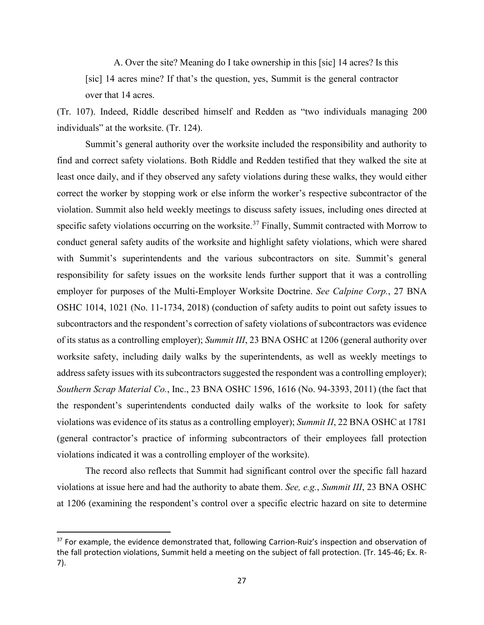A. Over the site? Meaning do I take ownership in this [sic] 14 acres? Is this [sic] 14 acres mine? If that's the question, yes, Summit is the general contractor over that 14 acres.

(Tr. 107). Indeed, Riddle described himself and Redden as "two individuals managing 200 individuals" at the worksite. (Tr. 124).

 correct the worker by stopping work or else inform the worker's respective subcontractor of the violations was evidence of its status as a controlling employer); *Summit II*, 22 BNA OSHC at 1781 Summit's general authority over the worksite included the responsibility and authority to find and correct safety violations. Both Riddle and Redden testified that they walked the site at least once daily, and if they observed any safety violations during these walks, they would either violation. Summit also held weekly meetings to discuss safety issues, including ones directed at specific safety violations occurring on the worksite.<sup>37</sup> Finally, Summit contracted with Morrow to conduct general safety audits of the worksite and highlight safety violations, which were shared with Summit's superintendents and the various subcontractors on site. Summit's general responsibility for safety issues on the worksite lends further support that it was a controlling employer for purposes of the Multi-Employer Worksite Doctrine. *See Calpine Corp.*, 27 BNA OSHC 1014, 1021 (No. 11-1734, 2018) (conduction of safety audits to point out safety issues to subcontractors and the respondent's correction of safety violations of subcontractors was evidence of its status as a controlling employer); *Summit III*, 23 BNA OSHC at 1206 (general authority over worksite safety, including daily walks by the superintendents, as well as weekly meetings to address safety issues with its subcontractors suggested the respondent was a controlling employer); *Southern Scrap Material Co.*, Inc., 23 BNA OSHC 1596, 1616 (No. 94-3393, 2011) (the fact that the respondent's superintendents conducted daily walks of the worksite to look for safety (general contractor's practice of informing subcontractors of their employees fall protection violations indicated it was a controlling employer of the worksite).

The record also reflects that Summit had significant control over the specific fall hazard violations at issue here and had the authority to abate them. *See, e.g.*, *Summit III*, 23 BNA OSHC at 1206 (examining the respondent's control over a specific electric hazard on site to determine

<sup>&</sup>lt;sup>37</sup> For example, the evidence demonstrated that, following Carrion-Ruiz's inspection and observation of the fall protection violations, Summit held a meeting on the subject of fall protection. (Tr. 145-46; Ex. R-7).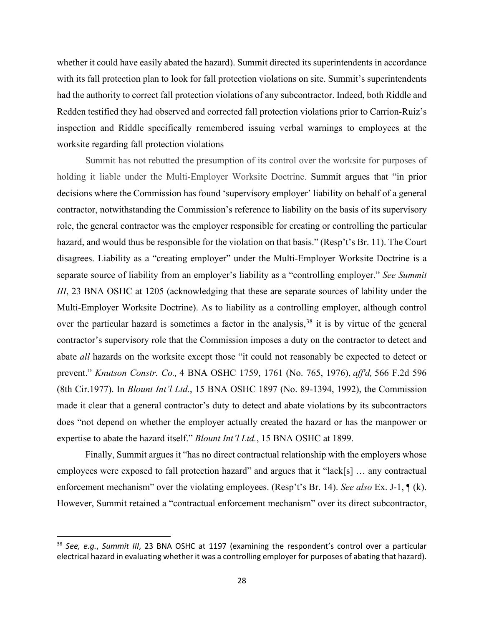worksite regarding fall protection violations whether it could have easily abated the hazard). Summit directed its superintendents in accordance with its fall protection plan to look for fall protection violations on site. Summit's superintendents had the authority to correct fall protection violations of any subcontractor. Indeed, both Riddle and Redden testified they had observed and corrected fall protection violations prior to Carrion-Ruiz's inspection and Riddle specifically remembered issuing verbal warnings to employees at the

 prevent." *Knutson Constr. Co.,* 4 BNA OSHC 1759, 1761 (No. 765, 1976), *aff'd,* 566 F.2d 596 Summit has not rebutted the presumption of its control over the worksite for purposes of holding it liable under the Multi-Employer Worksite Doctrine. Summit argues that "in prior decisions where the Commission has found 'supervisory employer' liability on behalf of a general contractor, notwithstanding the Commission's reference to liability on the basis of its supervisory role, the general contractor was the employer responsible for creating or controlling the particular hazard, and would thus be responsible for the violation on that basis." (Resp't's Br. 11). The Court disagrees. Liability as a "creating employer" under the Multi-Employer Worksite Doctrine is a separate source of liability from an employer's liability as a "controlling employer." *See Summit III*, 23 BNA OSHC at 1205 (acknowledging that these are separate sources of lability under the Multi-Employer Worksite Doctrine). As to liability as a controlling employer, although control over the particular hazard is sometimes a factor in the analysis,<sup>38</sup> it is by virtue of the general contractor's supervisory role that the Commission imposes a duty on the contractor to detect and abate *all* hazards on the worksite except those "it could not reasonably be expected to detect or (8th Cir.1977). In *Blount Int'l Ltd.*, 15 BNA OSHC 1897 (No. 89-1394, 1992), the Commission made it clear that a general contractor's duty to detect and abate violations by its subcontractors does "not depend on whether the employer actually created the hazard or has the manpower or expertise to abate the hazard itself." *Blount Int'l Ltd.*, 15 BNA OSHC at 1899.

employees were exposed to fall protection hazard" and argues that it "lack[s] ... any contractual Finally, Summit argues it "has no direct contractual relationship with the employers whose enforcement mechanism" over the violating employees. (Resp't's Br. 14). *See also* Ex. J-1, ¶ (k). However, Summit retained a "contractual enforcement mechanism" over its direct subcontractor,

 electrical hazard in evaluating whether it was a controlling employer for purposes of abating that hazard). <sup>38</sup>*See, e.g.*, *Summit III*, 23 BNA OSHC at 1197 (examining the respondent's control over a particular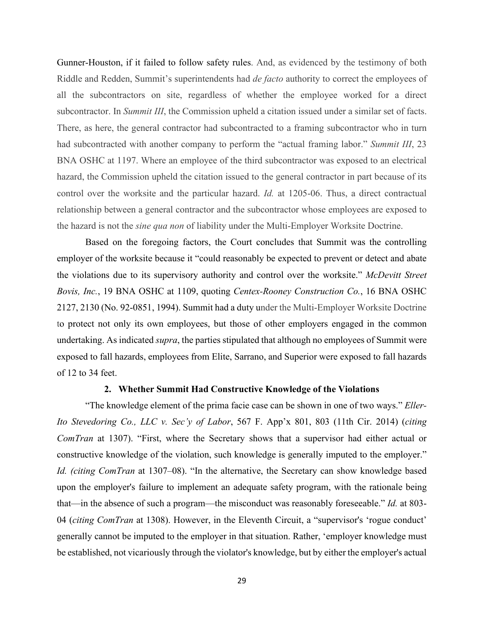control over the worksite and the particular hazard. *Id.* at 1205-06. Thus, a direct contractual Gunner-Houston, if it failed to follow safety rules. And, as evidenced by the testimony of both Riddle and Redden, Summit's superintendents had *de facto* authority to correct the employees of all the subcontractors on site, regardless of whether the employee worked for a direct subcontractor. In *Summit III*, the Commission upheld a citation issued under a similar set of facts. There, as here, the general contractor had subcontracted to a framing subcontractor who in turn had subcontracted with another company to perform the "actual framing labor." *Summit III*, 23 BNA OSHC at 1197. Where an employee of the third subcontractor was exposed to an electrical hazard, the Commission upheld the citation issued to the general contractor in part because of its relationship between a general contractor and the subcontractor whose employees are exposed to the hazard is not the *sine qua non* of liability under the Multi-Employer Worksite Doctrine.

 employer of the worksite because it "could reasonably be expected to prevent or detect and abate Based on the foregoing factors, the Court concludes that Summit was the controlling the violations due to its supervisory authority and control over the worksite." *McDevitt Street Bovis, Inc.*, 19 BNA OSHC at 1109, quoting *Centex-Rooney Construction Co.*, 16 BNA OSHC 2127, 2130 (No. 92-0851, 1994). Summit had a duty under the Multi-Employer Worksite Doctrine to protect not only its own employees, but those of other employers engaged in the common undertaking. As indicated *supra*, the parties stipulated that although no employees of Summit were exposed to fall hazards, employees from Elite, Sarrano, and Superior were exposed to fall hazards of 12 to 34 feet.

#### **2. Whether Summit Had Constructive Knowledge of the Violations**

 "The knowledge element of the prima facie case can be shown in one of two ways." *Eller-* be established, not vicariously through the violator's knowledge, but by either the employer's actual *Ito Stevedoring Co., LLC v. Sec'y of Labor*, 567 F. App'x 801, 803 (11th Cir. 2014) (*citing ComTran* at 1307). "First, where the Secretary shows that a supervisor had either actual or constructive knowledge of the violation, such knowledge is generally imputed to the employer." *Id. (citing ComTran* at 1307–08). "In the alternative, the Secretary can show knowledge based upon the employer's failure to implement an adequate safety program, with the rationale being that—in the absence of such a program—the misconduct was reasonably foreseeable." *Id.* at 803- 04 (*citing ComTran* at 1308). However, in the Eleventh Circuit, a "supervisor's 'rogue conduct' generally cannot be imputed to the employer in that situation. Rather, 'employer knowledge must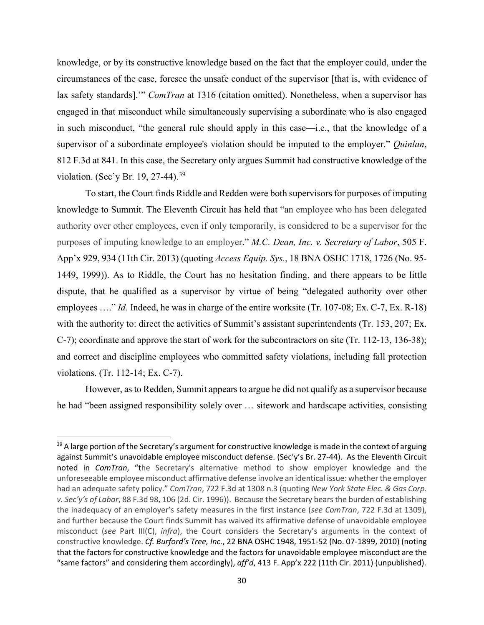violation. (Sec'y Br. 19, 27-44).<sup>39</sup> knowledge, or by its constructive knowledge based on the fact that the employer could, under the circumstances of the case, foresee the unsafe conduct of the supervisor [that is, with evidence of lax safety standards].'" *ComTran* at 1316 (citation omitted). Nonetheless, when a supervisor has engaged in that misconduct while simultaneously supervising a subordinate who is also engaged in such misconduct, "the general rule should apply in this case—i.e., that the knowledge of a supervisor of a subordinate employee's violation should be imputed to the employer." *Quinlan*, 812 F.3d at 841. In this case, the Secretary only argues Summit had constructive knowledge of the

 authority over other employees, even if only temporarily, is considered to be a supervisor for the To start, the Court finds Riddle and Redden were both supervisors for purposes of imputing knowledge to Summit. The Eleventh Circuit has held that "an employee who has been delegated purposes of imputing knowledge to an employer." *M.C. Dean, Inc. v. Secretary of Labor*, 505 F. App'x 929, 934 (11th Cir. 2013) (quoting *Access Equip. Sys.*, 18 BNA OSHC 1718, 1726 (No. 95- 1449, 1999)). As to Riddle, the Court has no hesitation finding, and there appears to be little dispute, that he qualified as a supervisor by virtue of being "delegated authority over other employees ...." *Id.* Indeed, he was in charge of the entire worksite (Tr. 107-08; Ex. C-7, Ex. R-18) with the authority to: direct the activities of Summit's assistant superintendents (Tr. 153, 207; Ex. C-7); coordinate and approve the start of work for the subcontractors on site (Tr. 112-13, 136-38); and correct and discipline employees who committed safety violations, including fall protection violations. (Tr. 112-14; Ex. C-7).

However, as to Redden, Summit appears to argue he did not qualify as a supervisor because he had "been assigned responsibility solely over … sitework and hardscape activities, consisting

 against Summit's unavoidable employee misconduct defense. (Sec'y's Br. 27-44). As the Eleventh Circuit noted in *ComTran*, "the Secretary's alternative method to show employer knowledge and the unforeseeable employee misconduct affirmative defense involve an identical issue: whether the employer  had an adequate safety policy." *ComTran*, 722 F.3d at 1308 n.3 (quoting *New York State Elec. & Gas Corp. v. Sec'y's of Labor*, 88 F.3d 98, 106 (2d. Cir. 1996)). Because the Secretary bears the burden of establishing the inadequacy of an employer's safety measures in the first instance (*see ComTran*, 722 F.3d at 1309), "same factors" and considering them accordingly), *aff'd*, 413 F. App'x 222 (11th Cir. 2011) (unpublished). <sup>39</sup> A large portion of the Secretary's argument for constructive knowledge is made in the context of arguing and further because the Court finds Summit has waived its affirmative defense of unavoidable employee misconduct (*see* Part III(C), *infra*), the Court considers the Secretary's arguments in the context of constructive knowledge. *Cf. Burford's Tree, Inc.*, 22 BNA OSHC 1948, 1951-52 (No. 07-1899, 2010) (noting that the factors for constructive knowledge and the factors for unavoidable employee misconduct are the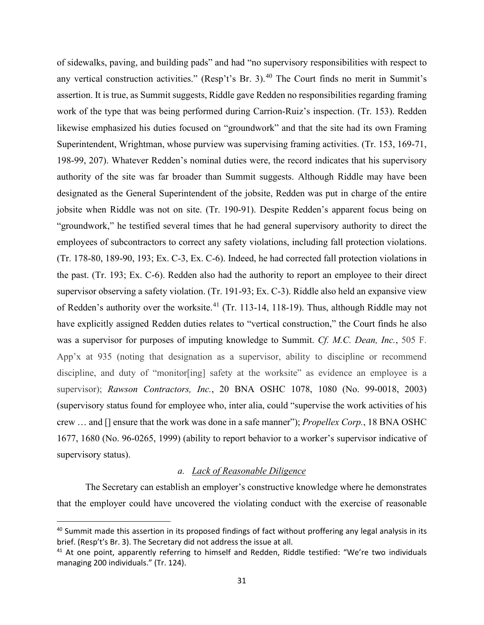any vertical construction activities." (Resp't's Br. 3).<sup>40</sup> The Court finds no merit in Summit's 198-99, 207). Whatever Redden's nominal duties were, the record indicates that his supervisory designated as the General Superintendent of the jobsite, Redden was put in charge of the entire jobsite when Riddle was not on site. (Tr. 190-91). Despite Redden's apparent focus being on "groundwork," he testified several times that he had general supervisory authority to direct the employees of subcontractors to correct any safety violations, including fall protection violations. supervisor observing a safety violation. (Tr. 191-93; Ex. C-3). Riddle also held an expansive view of sidewalks, paving, and building pads" and had "no supervisory responsibilities with respect to assertion. It is true, as Summit suggests, Riddle gave Redden no responsibilities regarding framing work of the type that was being performed during Carrion-Ruiz's inspection. (Tr. 153). Redden likewise emphasized his duties focused on "groundwork" and that the site had its own Framing Superintendent, Wrightman, whose purview was supervising framing activities. (Tr. 153, 169-71, authority of the site was far broader than Summit suggests. Although Riddle may have been (Tr. 178-80, 189-90, 193; Ex. C-3, Ex. C-6). Indeed, he had corrected fall protection violations in the past. (Tr. 193; Ex. C-6). Redden also had the authority to report an employee to their direct of Redden's authority over the worksite.<sup>41</sup> (Tr. 113-14, 118-19). Thus, although Riddle may not have explicitly assigned Redden duties relates to "vertical construction," the Court finds he also was a supervisor for purposes of imputing knowledge to Summit. *Cf. M.C. Dean, Inc.*, 505 F. App'x at 935 (noting that designation as a supervisor, ability to discipline or recommend discipline, and duty of "monitor[ing] safety at the worksite" as evidence an employee is a supervisor); *Rawson Contractors, Inc.*, 20 BNA OSHC 1078, 1080 (No. 99-0018, 2003) (supervisory status found for employee who, inter alia, could "supervise the work activities of his crew … and [] ensure that the work was done in a safe manner"); *Propellex Corp.*, 18 BNA OSHC 1677, 1680 (No. 96-0265, 1999) (ability to report behavior to a worker's supervisor indicative of supervisory status).

## *a. Lack of Reasonable Diligence*

The Secretary can establish an employer's constructive knowledge where he demonstrates that the employer could have uncovered the violating conduct with the exercise of reasonable

<sup>&</sup>lt;sup>40</sup> Summit made this assertion in its proposed findings of fact without proffering any legal analysis in its brief. (Resp't's Br. 3). The Secretary did not address the issue at all.<br><sup>41</sup> At one point, apparently referring to himself and Redden, Riddle testified: "We're two individuals

managing 200 individuals." (Tr. 124).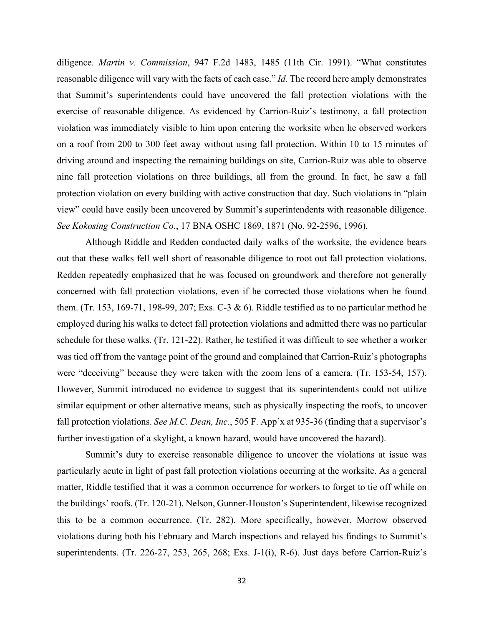diligence. *Martin v. Commission*, 947 F.2d 1483, 1485 (11th Cir. 1991). "What constitutes reasonable diligence will vary with the facts of each case." *Id.* The record here amply demonstrates that Summit's superintendents could have uncovered the fall protection violations with the exercise of reasonable diligence. As evidenced by Carrion-Ruiz's testimony, a fall protection violation was immediately visible to him upon entering the worksite when he observed workers on a roof from 200 to 300 feet away without using fall protection. Within 10 to 15 minutes of driving around and inspecting the remaining buildings on site, Carrion-Ruiz was able to observe nine fall protection violations on three buildings, all from the ground. In fact, he saw a fall protection violation on every building with active construction that day. Such violations in "plain view" could have easily been uncovered by Summit's superintendents with reasonable diligence. *See Kokosing Construction Co.*, 17 BNA OSHC 1869, 1871 (No. 92-2596, 1996)*.* 

 Redden repeatedly emphasized that he was focused on groundwork and therefore not generally concerned with fall protection violations, even if he corrected those violations when he found Although Riddle and Redden conducted daily walks of the worksite, the evidence bears out that these walks fell well short of reasonable diligence to root out fall protection violations. them. (Tr. 153, 169-71, 198-99, 207; Exs. C-3 & 6). Riddle testified as to no particular method he employed during his walks to detect fall protection violations and admitted there was no particular schedule for these walks. (Tr. 121-22). Rather, he testified it was difficult to see whether a worker was tied off from the vantage point of the ground and complained that Carrion-Ruiz's photographs were "deceiving" because they were taken with the zoom lens of a camera. (Tr. 153-54, 157). However, Summit introduced no evidence to suggest that its superintendents could not utilize similar equipment or other alternative means, such as physically inspecting the roofs, to uncover fall protection violations. *See M.C. Dean, Inc.*, 505 F. App'x at 935-36 (finding that a supervisor's further investigation of a skylight, a known hazard, would have uncovered the hazard).

 Summit's duty to exercise reasonable diligence to uncover the violations at issue was matter, Riddle testified that it was a common occurrence for workers to forget to tie off while on particularly acute in light of past fall protection violations occurring at the worksite. As a general the buildings' roofs. (Tr. 120-21). Nelson, Gunner-Houston's Superintendent, likewise recognized this to be a common occurrence. (Tr. 282). More specifically, however, Morrow observed violations during both his February and March inspections and relayed his findings to Summit's superintendents. (Tr. 226-27, 253, 265, 268; Exs. J-1(i), R-6). Just days before Carrion-Ruiz's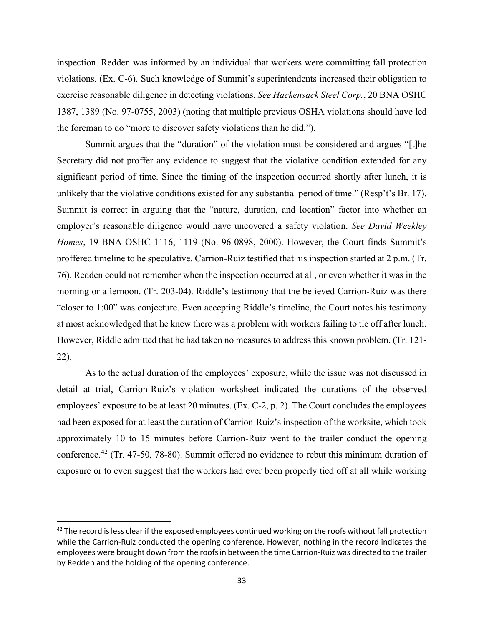inspection. Redden was informed by an individual that workers were committing fall protection violations. (Ex. C-6). Such knowledge of Summit's superintendents increased their obligation to exercise reasonable diligence in detecting violations. *See Hackensack Steel Corp.*, 20 BNA OSHC 1387, 1389 (No. 97-0755, 2003) (noting that multiple previous OSHA violations should have led the foreman to do "more to discover safety violations than he did.").

Summit argues that the "duration" of the violation must be considered and argues "[t]he Secretary did not proffer any evidence to suggest that the violative condition extended for any significant period of time. Since the timing of the inspection occurred shortly after lunch, it is unlikely that the violative conditions existed for any substantial period of time." (Resp't's Br. 17). Summit is correct in arguing that the "nature, duration, and location" factor into whether an employer's reasonable diligence would have uncovered a safety violation. *See David Weekley Homes*, 19 BNA OSHC 1116, 1119 (No. 96-0898, 2000). However, the Court finds Summit's proffered timeline to be speculative. Carrion-Ruiz testified that his inspection started at 2 p.m. (Tr. 76). Redden could not remember when the inspection occurred at all, or even whether it was in the morning or afternoon. (Tr. 203-04). Riddle's testimony that the believed Carrion-Ruiz was there "closer to 1:00" was conjecture. Even accepting Riddle's timeline, the Court notes his testimony at most acknowledged that he knew there was a problem with workers failing to tie off after lunch. However, Riddle admitted that he had taken no measures to address this known problem. (Tr. 121- 22).

 As to the actual duration of the employees' exposure, while the issue was not discussed in detail at trial, Carrion-Ruiz's violation worksheet indicated the durations of the observed employees' exposure to be at least 20 minutes. (Ex. C-2, p. 2). The Court concludes the employees had been exposed for at least the duration of Carrion-Ruiz's inspection of the worksite, which took approximately 10 to 15 minutes before Carrion-Ruiz went to the trailer conduct the opening conference.42 (Tr. 47-50, 78-80). Summit offered no evidence to rebut this minimum duration of exposure or to even suggest that the workers had ever been properly tied off at all while working

 $42$  The record is less clear if the exposed employees continued working on the roofs without fall protection while the Carrion-Ruiz conducted the opening conference. However, nothing in the record indicates the employees were brought down from the roofs in between the time Carrion-Ruiz was directed to the trailer by Redden and the holding of the opening conference.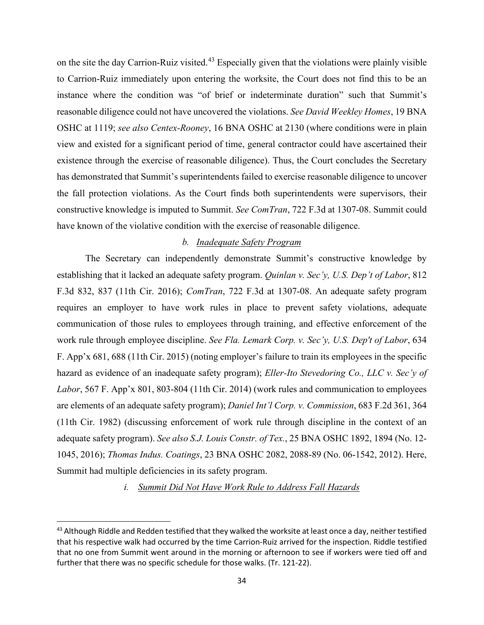on the site the day Carrion-Ruiz visited.<sup>43</sup> Especially given that the violations were plainly visible to Carrion-Ruiz immediately upon entering the worksite, the Court does not find this to be an instance where the condition was "of brief or indeterminate duration" such that Summit's reasonable diligence could not have uncovered the violations. *See David Weekley Homes*, 19 BNA OSHC at 1119; *see also Centex-Rooney*, 16 BNA OSHC at 2130 (where conditions were in plain view and existed for a significant period of time, general contractor could have ascertained their existence through the exercise of reasonable diligence). Thus, the Court concludes the Secretary has demonstrated that Summit's superintendents failed to exercise reasonable diligence to uncover the fall protection violations. As the Court finds both superintendents were supervisors, their constructive knowledge is imputed to Summit. *See ComTran*, 722 F.3d at 1307-08. Summit could have known of the violative condition with the exercise of reasonable diligence.

## *b. Inadequate Safety Program*

 Summit had multiple deficiencies in its safety program. The Secretary can independently demonstrate Summit's constructive knowledge by establishing that it lacked an adequate safety program. *Quinlan v. Sec'y, U.S. Dep't of Labor*, 812 F.3d 832, 837 (11th Cir. 2016); *ComTran*, 722 F.3d at 1307-08. An adequate safety program requires an employer to have work rules in place to prevent safety violations, adequate communication of those rules to employees through training, and effective enforcement of the work rule through employee discipline. *See Fla. Lemark Corp. v. Sec'y, U.S. Dep't of Labor*, 634 F. App'x 681, 688 (11th Cir. 2015) (noting employer's failure to train its employees in the specific hazard as evidence of an inadequate safety program); *Eller-Ito Stevedoring Co., LLC v. Sec'y of Labor*, 567 F. App'x 801, 803-804 (11th Cir. 2014) (work rules and communication to employees are elements of an adequate safety program); *Daniel Int'l Corp. v. Commission*, 683 F.2d 361, 364 (11th Cir. 1982) (discussing enforcement of work rule through discipline in the context of an adequate safety program). *See also S.J. Louis Constr. of Tex.*, 25 BNA OSHC 1892, 1894 (No. 12- 1045, 2016); *Thomas Indus. Coatings*, 23 BNA OSHC 2082, 2088-89 (No. 06-1542, 2012). Here,

*i. Summit Did Not Have Work Rule to Address Fall Hazards* 

 further that there was no specific schedule for those walks. (Tr. 121-22). <sup>43</sup> Although Riddle and Redden testified that they walked the worksite at least once a day, neither testified that his respective walk had occurred by the time Carrion-Ruiz arrived for the inspection. Riddle testified that no one from Summit went around in the morning or afternoon to see if workers were tied off and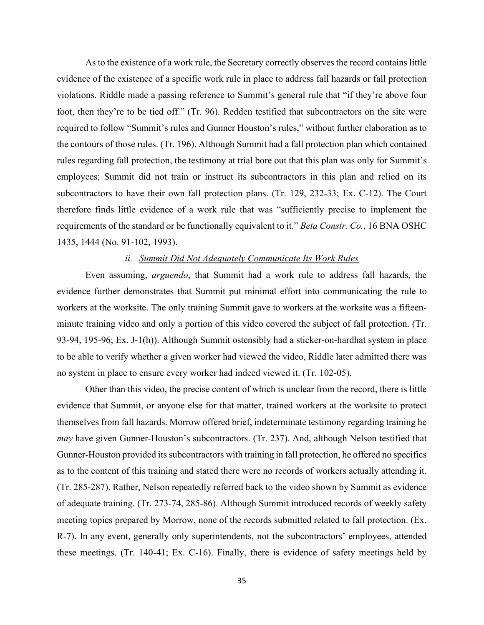rules regarding fall protection, the testimony at trial bore out that this plan was only for Summit's employees; Summit did not train or instruct its subcontractors in this plan and relied on its As to the existence of a work rule, the Secretary correctly observes the record contains little evidence of the existence of a specific work rule in place to address fall hazards or fall protection violations. Riddle made a passing reference to Summit's general rule that "if they're above four foot, then they're to be tied off." (Tr. 96). Redden testified that subcontractors on the site were required to follow "Summit's rules and Gunner Houston's rules," without further elaboration as to the contours of those rules. (Tr. 196). Although Summit had a fall protection plan which contained subcontractors to have their own fall protection plans. (Tr. 129, 232-33; Ex. C-12). The Court therefore finds little evidence of a work rule that was "sufficiently precise to implement the requirements of the standard or be functionally equivalent to it." *Beta Constr. Co.*, 16 BNA OSHC 1435, 1444 (No. 91-102, 1993).

#### *ii. Summit Did Not Adequately Communicate Its Work Rules*

Even assuming, *arguendo*, that Summit had a work rule to address fall hazards, the evidence further demonstrates that Summit put minimal effort into communicating the rule to workers at the worksite. The only training Summit gave to workers at the worksite was a fifteenminute training video and only a portion of this video covered the subject of fall protection. (Tr. 93-94, 195-96; Ex. J-1(h)). Although Summit ostensibly had a sticker-on-hardhat system in place to be able to verify whether a given worker had viewed the video, Riddle later admitted there was no system in place to ensure every worker had indeed viewed it. (Tr. 102-05).

 evidence that Summit, or anyone else for that matter, trained workers at the worksite to protect as to the content of this training and stated there were no records of workers actually attending it. Other than this video, the precise content of which is unclear from the record, there is little themselves from fall hazards. Morrow offered brief, indeterminate testimony regarding training he *may* have given Gunner-Houston's subcontractors. (Tr. 237). And, although Nelson testified that Gunner-Houston provided its subcontractors with training in fall protection, he offered no specifics (Tr. 285-287). Rather, Nelson repeatedly referred back to the video shown by Summit as evidence of adequate training. (Tr. 273-74, 285-86). Although Summit introduced records of weekly safety meeting topics prepared by Morrow, none of the records submitted related to fall protection. (Ex. R-7). In any event, generally only superintendents, not the subcontractors' employees, attended these meetings. (Tr. 140-41; Ex. C-16). Finally, there is evidence of safety meetings held by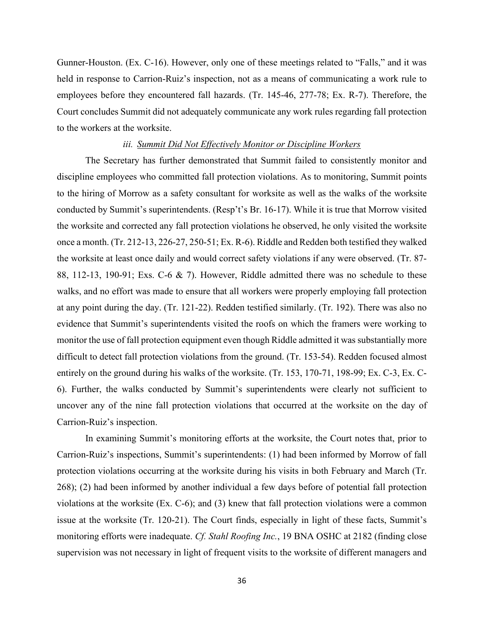Gunner-Houston. (Ex. C-16). However, only one of these meetings related to "Falls," and it was held in response to Carrion-Ruiz's inspection, not as a means of communicating a work rule to employees before they encountered fall hazards. (Tr. 145-46, 277-78; Ex. R-7). Therefore, the Court concludes Summit did not adequately communicate any work rules regarding fall protection to the workers at the worksite.

#### *iii. Summit Did Not Effectively Monitor or Discipline Workers*

 The Secretary has further demonstrated that Summit failed to consistently monitor and discipline employees who committed fall protection violations. As to monitoring, Summit points to the hiring of Morrow as a safety consultant for worksite as well as the walks of the worksite conducted by Summit's superintendents. (Resp't's Br. 16-17). While it is true that Morrow visited the worksite and corrected any fall protection violations he observed, he only visited the worksite once a month. (Tr. 212-13, 226-27, 250-51; Ex. R-6). Riddle and Redden both testified they walked the worksite at least once daily and would correct safety violations if any were observed. (Tr. 87- 88, 112-13, 190-91; Exs. C-6 & 7). However, Riddle admitted there was no schedule to these walks, and no effort was made to ensure that all workers were properly employing fall protection at any point during the day. (Tr. 121-22). Redden testified similarly. (Tr. 192). There was also no evidence that Summit's superintendents visited the roofs on which the framers were working to monitor the use of fall protection equipment even though Riddle admitted it was substantially more difficult to detect fall protection violations from the ground. (Tr. 153-54). Redden focused almost entirely on the ground during his walks of the worksite. (Tr. 153, 170-71, 198-99; Ex. C-3, Ex. C-6). Further, the walks conducted by Summit's superintendents were clearly not sufficient to uncover any of the nine fall protection violations that occurred at the worksite on the day of Carrion-Ruiz's inspection.

 In examining Summit's monitoring efforts at the worksite, the Court notes that, prior to Carrion-Ruiz's inspections, Summit's superintendents: (1) had been informed by Morrow of fall protection violations occurring at the worksite during his visits in both February and March (Tr. 268); (2) had been informed by another individual a few days before of potential fall protection violations at the worksite (Ex. C-6); and (3) knew that fall protection violations were a common issue at the worksite (Tr. 120-21). The Court finds, especially in light of these facts, Summit's monitoring efforts were inadequate. *Cf. Stahl Roofing Inc.*, 19 BNA OSHC at 2182 (finding close supervision was not necessary in light of frequent visits to the worksite of different managers and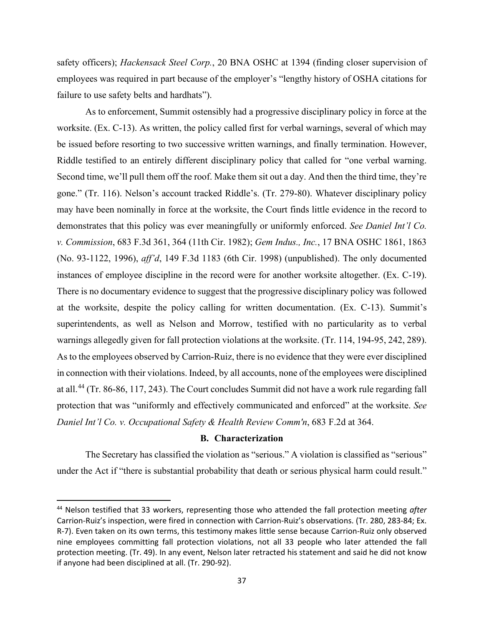safety officers); *Hackensack Steel Corp.*, 20 BNA OSHC at 1394 (finding closer supervision of employees was required in part because of the employer's "lengthy history of OSHA citations for failure to use safety belts and hardhats").

 may have been nominally in force at the worksite, the Court finds little evidence in the record to As to enforcement, Summit ostensibly had a progressive disciplinary policy in force at the worksite. (Ex. C-13). As written, the policy called first for verbal warnings, several of which may be issued before resorting to two successive written warnings, and finally termination. However, Riddle testified to an entirely different disciplinary policy that called for "one verbal warning. Second time, we'll pull them off the roof. Make them sit out a day. And then the third time, they're gone." (Tr. 116). Nelson's account tracked Riddle's. (Tr. 279-80). Whatever disciplinary policy demonstrates that this policy was ever meaningfully or uniformly enforced. *See Daniel Int'l Co. v. Commission*, 683 F.3d 361, 364 (11th Cir. 1982); *Gem Indus., Inc.*, 17 BNA OSHC 1861, 1863 (No. 93-1122, 1996), *aff'd*, 149 F.3d 1183 (6th Cir. 1998) (unpublished). The only documented instances of employee discipline in the record were for another worksite altogether. (Ex. C-19). There is no documentary evidence to suggest that the progressive disciplinary policy was followed at the worksite, despite the policy calling for written documentation. (Ex. C-13). Summit's superintendents, as well as Nelson and Morrow, testified with no particularity as to verbal warnings allegedly given for fall protection violations at the worksite. (Tr. 114, 194-95, 242, 289). As to the employees observed by Carrion-Ruiz, there is no evidence that they were ever disciplined in connection with their violations. Indeed, by all accounts, none of the employees were disciplined at all.44 (Tr. 86-86, 117, 243). The Court concludes Summit did not have a work rule regarding fall protection that was "uniformly and effectively communicated and enforced" at the worksite. *See Daniel Int'l Co. v. Occupational Safety & Health Review Comm'n*, 683 F.2d at 364.

## **B. Characterization**

 under the Act if "there is substantial probability that death or serious physical harm could result." The Secretary has classified the violation as "serious." A violation is classified as "serious"

 44 Nelson testified that 33 workers, representing those who attended the fall protection meeting *after*  R-7). Even taken on its own terms, this testimony makes little sense because Carrion-Ruiz only observed Carrion-Ruiz's inspection, were fired in connection with Carrion-Ruiz's observations. (Tr. 280, 283-84; Ex. nine employees committing fall protection violations, not all 33 people who later attended the fall protection meeting. (Tr. 49). In any event, Nelson later retracted his statement and said he did not know if anyone had been disciplined at all. (Tr. 290-92).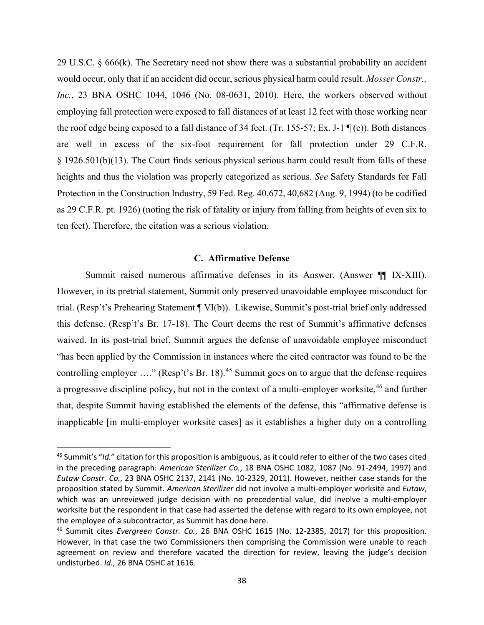29 U.S.C. § 666(k). The Secretary need not show there was a substantial probability an accident as 29 C.F.R. pt. 1926) (noting the risk of fatality or injury from falling from heights of even six to would occur, only that if an accident did occur, serious physical harm could result. *Mosser Constr., Inc.*, 23 BNA OSHC 1044, 1046 (No. 08-0631, 2010). Here, the workers observed without employing fall protection were exposed to fall distances of at least 12 feet with those working near the roof edge being exposed to a fall distance of 34 feet. (Tr. 155-57; Ex. J-1 ¶ (e)). Both distances are well in excess of the six-foot requirement for fall protection under 29 C.F.R. § 1926.501(b)(13). The Court finds serious physical serious harm could result from falls of these heights and thus the violation was properly categorized as serious. *See* Safety Standards for Fall Protection in the Construction Industry, 59 Fed. Reg. 40,672, 40,682 (Aug. 9, 1994) (to be codified ten feet). Therefore, the citation was a serious violation.

### **C. Affirmative Defense**

Summit raised numerous affirmative defenses in its Answer. (Answer ¶ IX-XIII). Summit raised numerous affirmative defenses in its Answer. (Answer ¶ IX-XIII).<br>However, in its pretrial statement, Summit only preserved unavoidable employee misconduct for controlling employer  $\ldots$ " (Resp't's Br. 18).<sup>45</sup> Summit goes on to argue that the defense requires that, despite Summit having established the elements of the defense, this "affirmative defense is trial. (Resp't's Prehearing Statement ¶ VI(b)). Likewise, Summit's post-trial brief only addressed this defense. (Resp't's Br. 17-18). The Court deems the rest of Summit's affirmative defenses waived. In its post-trial brief, Summit argues the defense of unavoidable employee misconduct "has been applied by the Commission in instances where the cited contractor was found to be the a progressive discipline policy, but not in the context of a multi-employer worksite,<sup>46</sup> and further inapplicable [in multi-employer worksite cases] as it establishes a higher duty on a controlling

 in the preceding paragraph: *American Sterilizer Co.*, 18 BNA OSHC 1082, 1087 (No. 91-2494, 1997) and *Eutaw Constr. Co.*, 23 BNA OSHC 2137, 2141 (No. 10-2329, 2011). However, neither case stands for the proposition stated by Summit. *American Sterilizer* did not involve a multi-employer worksite and *Eutaw*, worksite but the respondent in that case had asserted the defense with regard to its own employee, not 45 Summit's "*Id.*" citation for this proposition is ambiguous, as it could refer to either of the two cases cited which was an unreviewed judge decision with no precedential value, did involve a multi-employer the employee of a subcontractor, as Summit has done here.

 46 Summit cites *Evergreen Constr. Co.*, 26 BNA OSHC 1615 (No. 12-2385, 2017) for this proposition. However, in that case the two Commissioners then comprising the Commission were unable to reach agreement on review and therefore vacated the direction for review, leaving the judge's decision undisturbed. *Id.*, 26 BNA OSHC at 1616.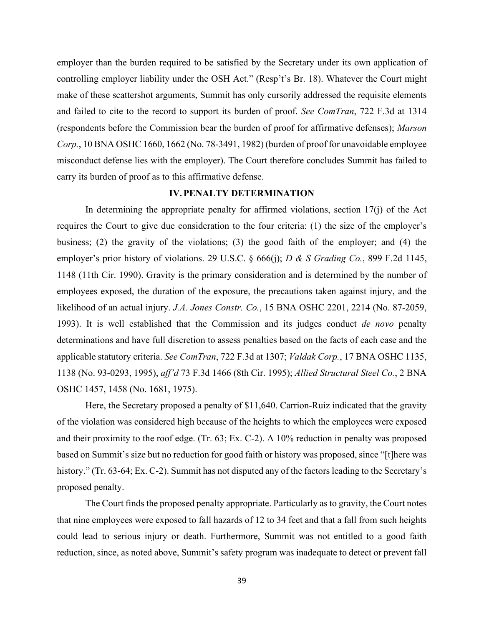employer than the burden required to be satisfied by the Secretary under its own application of controlling employer liability under the OSH Act." (Resp't's Br. 18). Whatever the Court might make of these scattershot arguments, Summit has only cursorily addressed the requisite elements and failed to cite to the record to support its burden of proof. *See ComTran*, 722 F.3d at 1314 (respondents before the Commission bear the burden of proof for affirmative defenses); *Marson Corp.*, 10 BNA OSHC 1660, 1662 (No. 78-3491, 1982) (burden of proof for unavoidable employee misconduct defense lies with the employer). The Court therefore concludes Summit has failed to carry its burden of proof as to this affirmative defense.

## **IV. PENALTY DETERMINATION**

 requires the Court to give due consideration to the four criteria: (1) the size of the employer's applicable statutory criteria. *See ComTran*, 722 F.3d at 1307; *Valdak Corp.*, 17 BNA OSHC 1135, In determining the appropriate penalty for affirmed violations, section  $17(i)$  of the Act business; (2) the gravity of the violations; (3) the good faith of the employer; and (4) the employer's prior history of violations. 29 U.S.C. § 666(j); *D & S Grading Co.*, 899 F.2d 1145, 1148 (11th Cir. 1990). Gravity is the primary consideration and is determined by the number of employees exposed, the duration of the exposure, the precautions taken against injury, and the likelihood of an actual injury. *J.A. Jones Constr. Co.*, 15 BNA OSHC 2201, 2214 (No. 87-2059, 1993). It is well established that the Commission and its judges conduct *de novo* penalty determinations and have full discretion to assess penalties based on the facts of each case and the 1138 (No. 93-0293, 1995), *aff'd* 73 F.3d 1466 (8th Cir. 1995); *Allied Structural Steel Co.*, 2 BNA OSHC 1457, 1458 (No. 1681, 1975).

 history." (Tr. 63-64; Ex. C-2). Summit has not disputed any of the factors leading to the Secretary's Here, the Secretary proposed a penalty of \$11,640. Carrion-Ruiz indicated that the gravity of the violation was considered high because of the heights to which the employees were exposed and their proximity to the roof edge. (Tr. 63; Ex. C-2). A 10% reduction in penalty was proposed based on Summit's size but no reduction for good faith or history was proposed, since "[t]here was proposed penalty.

 reduction, since, as noted above, Summit's safety program was inadequate to detect or prevent fall The Court finds the proposed penalty appropriate. Particularly as to gravity, the Court notes that nine employees were exposed to fall hazards of 12 to 34 feet and that a fall from such heights could lead to serious injury or death. Furthermore, Summit was not entitled to a good faith